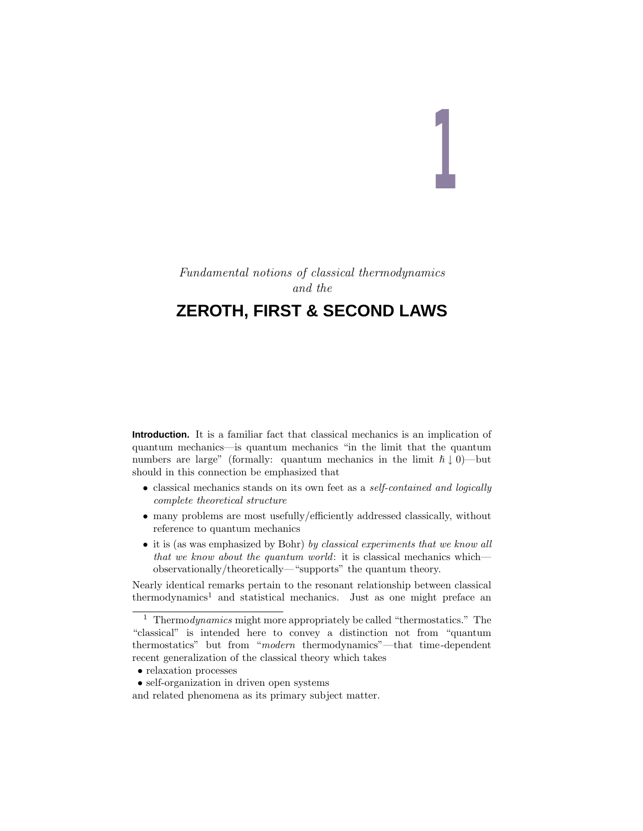# **1**

Fundamental notions of classical thermodynamics and the

# **ZEROTH, FIRST & SECOND LAWS**

**Introduction.** It is a familiar fact that classical mechanics is an implication of quantum mechanics—is quantum mechanics "in the limit that the quantum numbers are large" (formally: quantum mechanics in the limit  $\hbar \downarrow 0$ )—but should in this connection be emphasized that

- classical mechanics stands on its own feet as a *self-contained and logically* complete theoretical structure
- many problems are most usefully/efficiently addressed classically, without reference to quantum mechanics
- it is (as was emphasized by Bohr) by classical experiments that we know all that we know about the quantum world: it is classical mechanics which observationally/theoretically—"supports" the quantum theory.

Nearly identical remarks pertain to the resonant relationship between classical  $\mu$  thermodynamics<sup>1</sup> and statistical mechanics. Just as one might preface an

- relaxation processes
- self-organization in driven open systems

and related phenomena as its primary subject matter.

<sup>&</sup>lt;sup>1</sup> Thermodynamics might more appropriately be called "thermostatics." The "classical" is intended here to convey a distinction not from "quantum thermostatics" but from "modern thermodynamics"—that time-dependent recent generalization of the classical theory which takes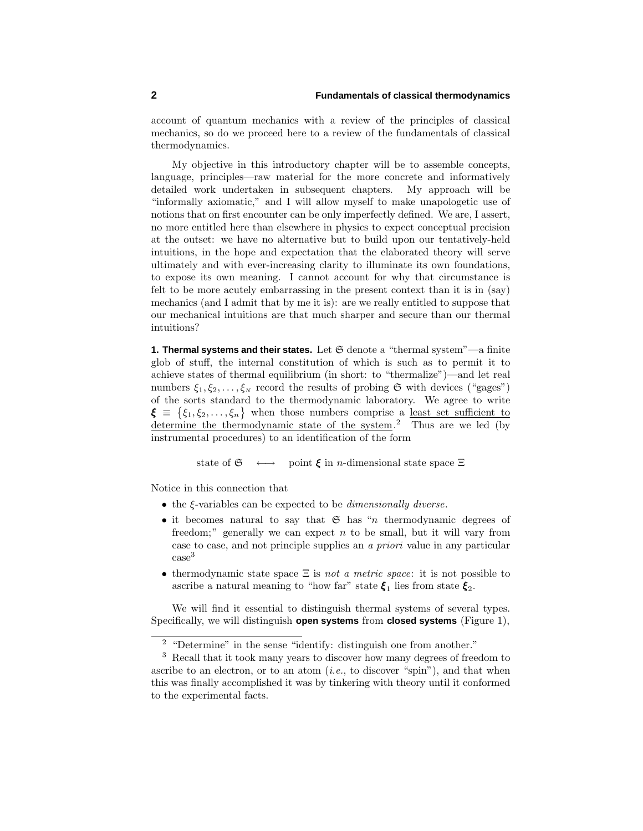account of quantum mechanics with a review of the principles of classical mechanics, so do we proceed here to a review of the fundamentals of classical thermodynamics.

My objective in this introductory chapter will be to assemble concepts, language, principles—raw material for the more concrete and informatively detailed work undertaken in subsequent chapters. My approach will be "informally axiomatic," and I will allow myself to make unapologetic use of notions that on first encounter can be only imperfectly defined. We are, I assert, no more entitled here than elsewhere in physics to expect conceptual precision at the outset: we have no alternative but to build upon our tentatively-held intuitions, in the hope and expectation that the elaborated theory will serve ultimately and with ever-increasing clarity to illuminate its own foundations, to expose its own meaning. I cannot account for why that circumstance is felt to be more acutely embarrassing in the present context than it is in (say) mechanics (and I admit that by me it is): are we really entitled to suppose that our mechanical intuitions are that much sharper and secure than our thermal intuitions?

**1. Thermal systems and their states.** Let  $\mathfrak{S}$  denote a "thermal system"—a finite glob of stuff, the internal constitution of which is such as to permit it to achieve states of thermal equilibrium (in short: to "thermalize")—and let real numbers  $\xi_1, \xi_2, \ldots, \xi_N$  record the results of probing  $\mathfrak{S}$  with devices ("gages") of the sorts standard to the thermodynamic laboratory. We agree to write  $\boldsymbol{\xi} = \{\xi_1, \xi_2, \dots, \xi_n\}$  when those numbers comprise a <u>least set sufficient to</u> determine the thermodynamic state of the system.<sup>2</sup> Thus are we led (by instrumental procedures) to an identification of the form

state of  $\mathfrak{S} \longleftrightarrow$  point  $\xi$  in *n*-dimensional state space  $\Xi$ 

Notice in this connection that

- the *ξ*-variables can be expected to be dimensionally diverse.
- it becomes natural to say that  $\mathfrak S$  has "*n* thermodynamic degrees of freedom;" generally we can expect *n* to be small, but it will vary from case to case, and not principle supplies an a priori value in any particular case<sup>3</sup>
- thermodynamic state space  $\Xi$  is not a metric space: it is not possible to ascribe a natural meaning to "how far" state  $\xi_1$  lies from state  $\xi_2$ .

We will find it essential to distinguish thermal systems of several types. Specifically, we will distinguish **open systems** from **closed systems** (Figure 1),

<sup>2</sup> "Determine" in the sense "identify: distinguish one from another."

<sup>3</sup> Recall that it took many years to discover how many degrees of freedom to ascribe to an electron, or to an atom  $(i.e.,$  to discover "spin"), and that when this was finally accomplished it was by tinkering with theory until it conformed to the experimental facts.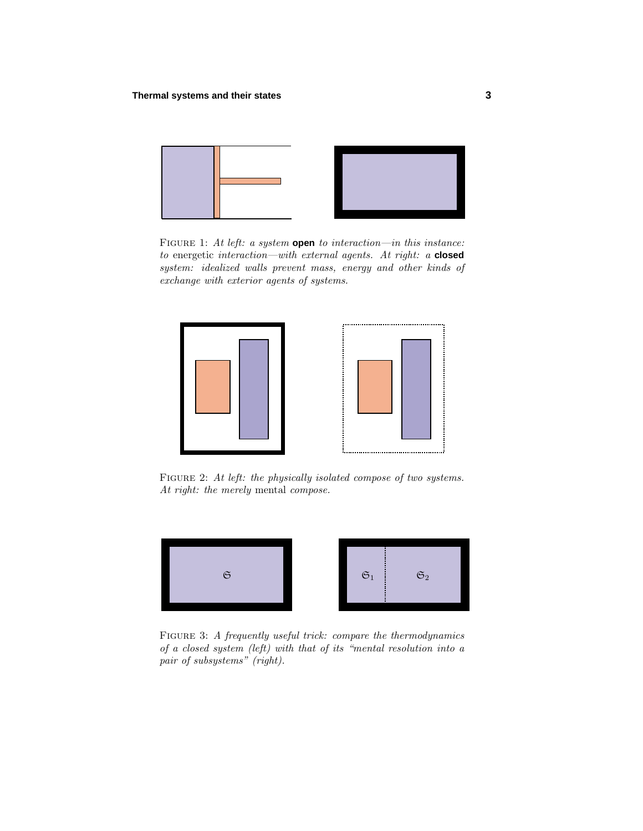

FIGURE 1: At left: a system **open** to interaction—in this instance: to energetic interaction—with external agents. At right: a **closed** system: idealized walls prevent mass, energy and other kinds of exchange with exterior agents of systems.



FIGURE 2: At left: the physically isolated compose of two systems. At right: the merely mental compose.



FIGURE 3: A frequently useful trick: compare the thermodynamics of a closed system (left) with that of its "mental resolution into a pair of subsystems" (right).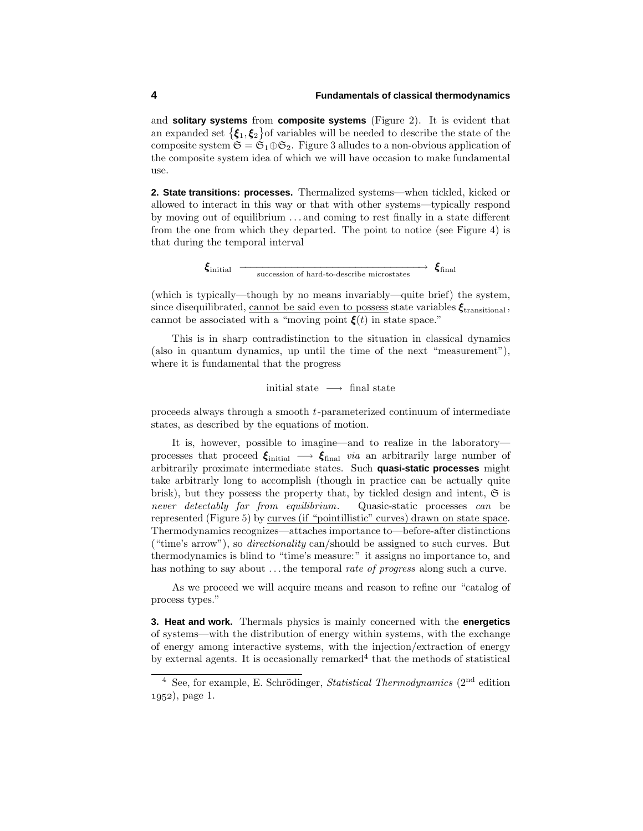and **solitary systems** from **composite systems** (Figure 2). It is evident that an expanded set  $\{\boldsymbol{\xi}_1, \boldsymbol{\xi}_2\}$  of variables will be needed to describe the state of the composite system  $\mathfrak{S} = \mathfrak{S}_1 \oplus \mathfrak{S}_2$ . Figure 3 alludes to a non-obvious application of the composite system idea of which we will have occasion to make fundamental use.

**2. State transitions: processes.** Thermalized systems—when tickled, kicked or allowed to interact in this way or that with other systems—typically respond by moving out of equilibrium *...* and coming to rest finally in a state different from the one from which they departed. The point to notice (see Figure 4) is that during the temporal interval

$$
\xi_{initial} \longrightarrow \xi_{final}
$$

(which is typically—though by no means invariably—quite brief) the system, since disequilibrated, cannot be said even to possess state variables *ξ*transitional , cannot be associated with a "moving point  $\xi(t)$  in state space."

This is in sharp contradistinction to the situation in classical dynamics (also in quantum dynamics, up until the time of the next "measurement"), where it is fundamental that the progress

initial state  $\longrightarrow$  final state

proceeds always through a smooth *t*-parameterized continuum of intermediate states, as described by the equations of motion.

It is, however, possible to imagine—and to realize in the laboratory processes that proceed  $\xi_{initial} \longrightarrow \xi_{final}$  *via* an arbitrarily large number of arbitrarily proximate intermediate states. Such **quasi-static processes** might take arbitrarly long to accomplish (though in practice can be actually quite brisk), but they possess the property that, by tickled design and intent,  $\mathfrak{S}$  is never detectably far from equilibrium. Quasic-static processes can be represented (Figure 5) by curves (if "pointillistic" curves) drawn on state space. Thermodynamics recognizes—attaches importance to—before-after distinctions ("time's arrow"), so directionality can/should be assigned to such curves. But thermodynamics is blind to "time's measure:" it assigns no importance to, and has nothing to say about ...the temporal *rate of progress* along such a curve.

As we proceed we will acquire means and reason to refine our "catalog of process types."

**3. Heat and work.** Thermals physics is mainly concerned with the **energetics** of systems—with the distribution of energy within systems, with the exchange of energy among interactive systems, with the injection/extraction of energy by external agents. It is occasionally remarked<sup>4</sup> that the methods of statistical

<sup>&</sup>lt;sup>4</sup> See, for example, E. Schrödinger, *Statistical Thermodynamics* ( $2<sup>nd</sup>$  edition ), page 1.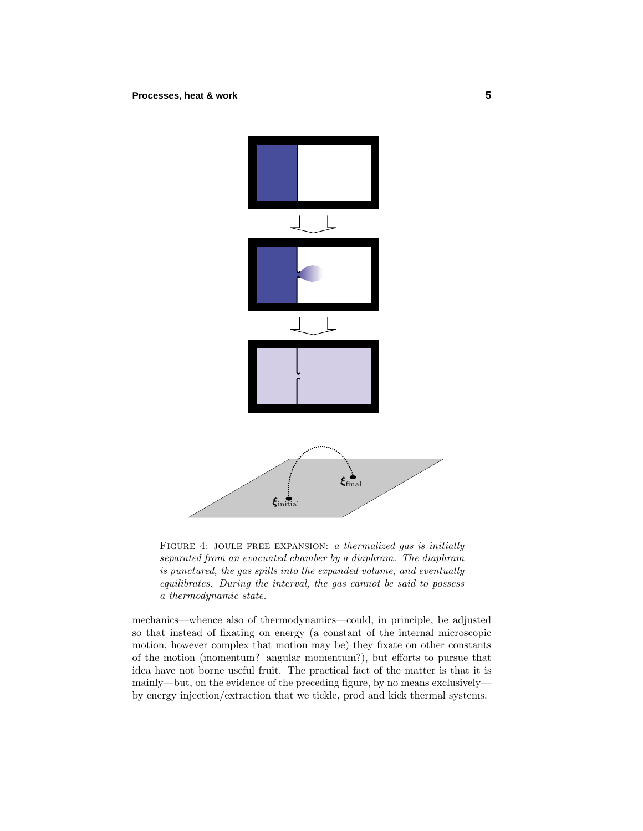

FIGURE 4: JOULE FREE EXPANSION: a thermalized gas is initially separated from an evacuated chamber by a diaphram. The diaphram is punctured, the gas spills into the expanded volume, and eventually equilibrates. During the interval, the gas cannot be said to possess a thermodynamic state.

mechanics—whence also of thermodynamics—could, in principle, be adjusted so that instead of fixating on energy (a constant of the internal microscopic motion, however complex that motion may be) they fixate on other constants of the motion (momentum? angular momentum?), but efforts to pursue that idea have not borne useful fruit. The practical fact of the matter is that it is mainly—but, on the evidence of the preceding figure, by no means exclusively by energy injection/extraction that we tickle, prod and kick thermal systems.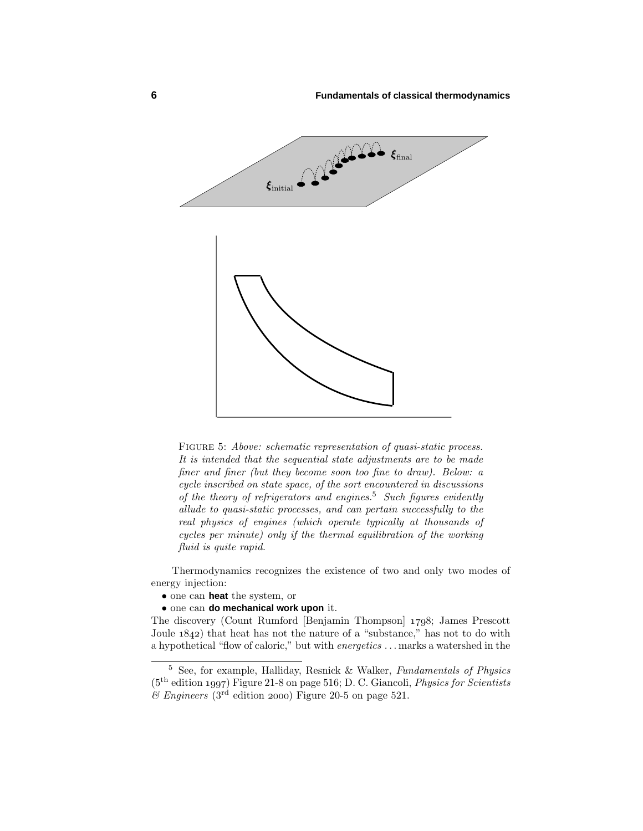

FIGURE 5: Above: schematic representation of quasi-static process. It is intended that the sequential state adjustments are to be made finer and finer (but they become soon too fine to draw). Below: a cycle inscribed on state space, of the sort encountered in discussions of the theory of refrigerators and engines.<sup>5</sup> Such figures evidently allude to quasi-static processes,and can pertain successfully to the real physics of engines (which operate typically at thousands of cycles per minute) only if the thermal equilibration of the working fluid is quite rapid.

Thermodynamics recognizes the existence of two and only two modes of energy injection:

- one can **heat** the system, or
- one can **do mechanical work upon** it.

The discovery (Count Rumford [Benjamin Thompson] 1798; James Prescott Joule  $1842$ ) that heat has not the nature of a "substance," has not to do with a hypothetical "flow of caloric," but with energetics *...* marks a watershed in the

<sup>5</sup> See, for example, Halliday, Resnick & Walker, Fundamentals of Physics  $(5<sup>th</sup> edition 1997) Figure 21-8 on page 516; D. C. Giancoli, *Physics for Scientists*$  $\overset{\sim}{\mathcal{C}}$  Engineers (3<sup>rd</sup> edition 2000) Figure 20-5 on page 521.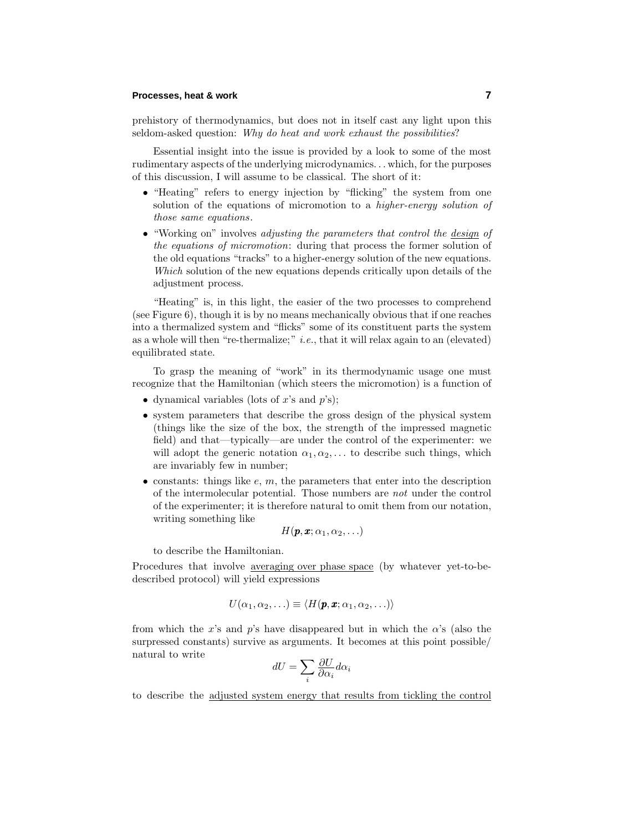### **Processes, heat & work 7**

prehistory of thermodynamics, but does not in itself cast any light upon this seldom-asked question: Why do heat and work exhaust the possibilities?

Essential insight into the issue is provided by a look to some of the most rudimentary aspects of the underlying microdynamics*...* which, for the purposes of this discussion, I will assume to be classical. The short of it:

- "Heating" refers to energy injection by "flicking" the system from one solution of the equations of micromotion to a higher-energy solution of those same equations.
- "Working on" involves adjusting the parameters that control the design of the equations of micromotion: during that process the former solution of the old equations "tracks" to a higher-energy solution of the new equations. Which solution of the new equations depends critically upon details of the adjustment process.

"Heating" is, in this light, the easier of the two processes to comprehend (see Figure 6), though it is by no means mechanically obvious that if one reaches into a thermalized system and "flicks" some of its constituent parts the system as a whole will then "re-thermalize;" *i.e.*, that it will relax again to an (elevated) equilibrated state.

To grasp the meaning of "work" in its thermodynamic usage one must recognize that the Hamiltonian (which steers the micromotion) is a function of

- dynamical variables (lots of *x*'s and *p*'s);
- system parameters that describe the gross design of the physical system (things like the size of the box, the strength of the impressed magnetic field) and that—typically—are under the control of the experimenter: we will adopt the generic notation  $\alpha_1, \alpha_2, \ldots$  to describe such things, which are invariably few in number;
- constants: things like *e*, *m*, the parameters that enter into the description of the intermolecular potential. Those numbers are not under the control of the experimenter; it is therefore natural to omit them from our notation, writing something like

$$
H(\pmb{p},\pmb{x};\alpha_1,\alpha_2,\ldots)
$$

to describe the Hamiltonian.

Procedures that involve averaging over phase space (by whatever yet-to-bedescribed protocol) will yield expressions

$$
U(\alpha_1, \alpha_2, \ldots) \equiv \langle H(\pmb{p}, \pmb{x}; \alpha_1, \alpha_2, \ldots) \rangle
$$

from which the *x*'s and *p*'s have disappeared but in which the  $\alpha$ 's (also the surpressed constants) survive as arguments. It becomes at this point possible/ natural to write

$$
dU = \sum_i \frac{\partial U}{\partial \alpha_i} d\alpha_i
$$

to describe the adjusted system energy that results from tickling the control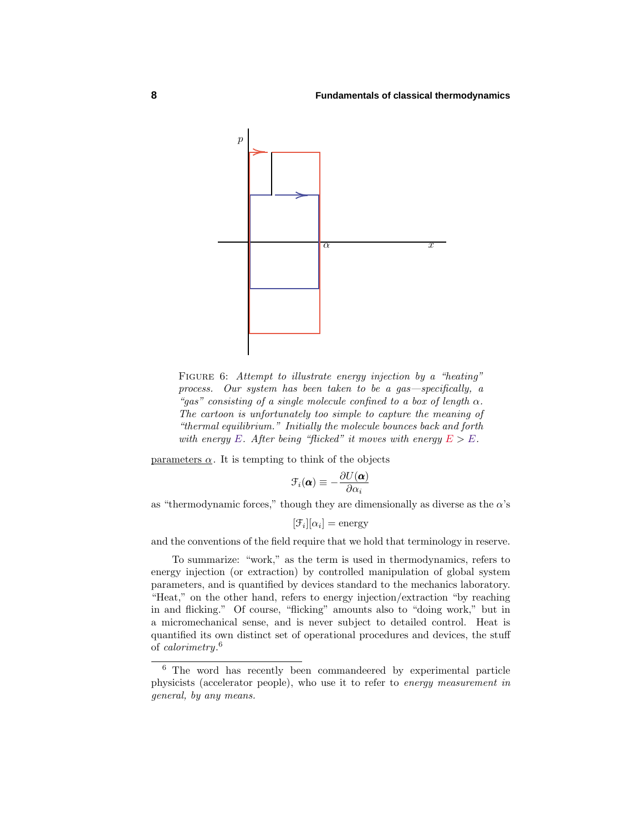

FIGURE 6: Attempt to illustrate energy injection by a "heating" process. Our system has been taken to be a gas—specifically, a "gas" consisting of a single molecule confined to a box of length *α*. The cartoon is unfortunately too simple to capture the meaning of "thermal equilibrium." Initially the molecule bounces back and forth with energy *E*. After being "flicked" it moves with energy  $E > E$ .

parameters  $\alpha$ . It is tempting to think of the objects

$$
\mathcal{F}_i(\boldsymbol{\alpha}) \equiv -\frac{\partial U(\boldsymbol{\alpha})}{\partial \alpha_i}
$$

as "thermodynamic forces," though they are dimensionally as diverse as the  $\alpha$ 's

 $[\mathcal{F}_i][\alpha_i] = \text{energy}$ 

and the conventions of the field require that we hold that terminology in reserve.

To summarize: "work," as the term is used in thermodynamics, refers to energy injection (or extraction) by controlled manipulation of global system parameters, and is quantified by devices standard to the mechanics laboratory. "Heat," on the other hand, refers to energy injection/extraction "by reaching in and flicking." Of course, "flicking" amounts also to "doing work," but in a micromechanical sense, and is never subject to detailed control. Heat is quantified its own distinct set of operational procedures and devices, the stuff of calorimetry. 6

<sup>6</sup> The word has recently been commandeered by experimental particle physicists (accelerator people), who use it to refer to energy measurement in general,by any means.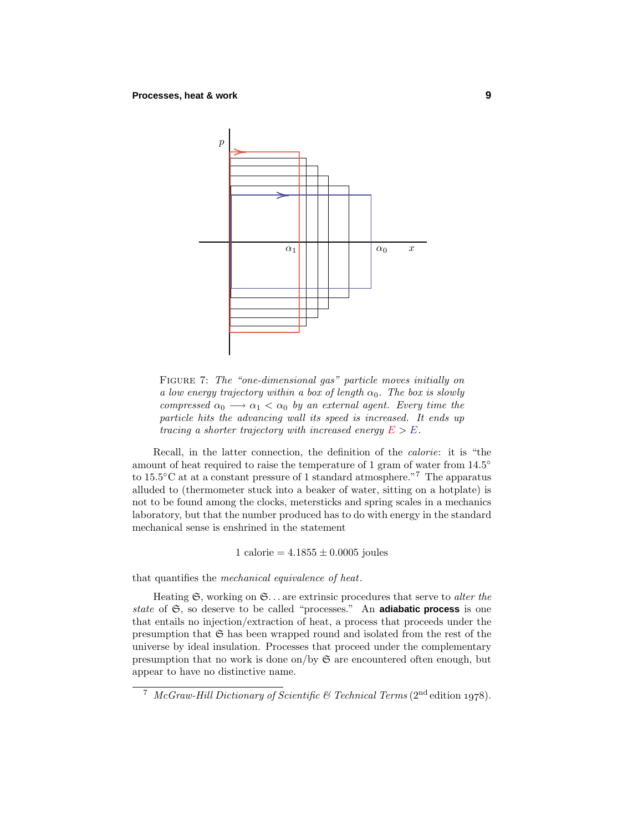

FIGURE 7: The "one-dimensional gas" particle moves initially on a low energy trajectory within a box of length  $\alpha_0$ . The box is slowly compressed  $\alpha_0 \longrightarrow \alpha_1 < \alpha_0$  by an external agent. Every time the particle hits the advancing wall its speed is increased. It ends up tracing a shorter trajectory with increased energy  $E > E$ .

Recall, in the latter connection, the definition of the calorie: it is "the amount of heat required to raise the temperature of 1 gram of water from 14*.*5◦ to 15*.*5◦C at at a constant pressure of 1 standard atmosphere."<sup>7</sup> The apparatus alluded to (thermometer stuck into a beaker of water, sitting on a hotplate) is not to be found among the clocks, metersticks and spring scales in a mechanics laboratory, but that the number produced has to do with energy in the standard mechanical sense is enshrined in the statement

1 calorie  $= 4.1855 \pm 0.0005$  joules

that quantifies the mechanical equivalence of heat.

Heating  $\mathfrak{S}$ , working on  $\mathfrak{S}$ ... are extrinsic procedures that serve to *alter the* state of S, so deserve to be called "processes." An **adiabatic process** is one that entails no injection/extraction of heat, a process that proceeds under the presumption that  $\mathfrak S$  has been wrapped round and isolated from the rest of the universe by ideal insulation. Processes that proceed under the complementary presumption that no work is done on/by  $\mathfrak{S}$  are encountered often enough, but appear to have no distinctive name.

<sup>&</sup>lt;sup>7</sup> McGraw-Hill Dictionary of Scientific & Technical Terms ( $2<sup>nd</sup>$  edition 1978).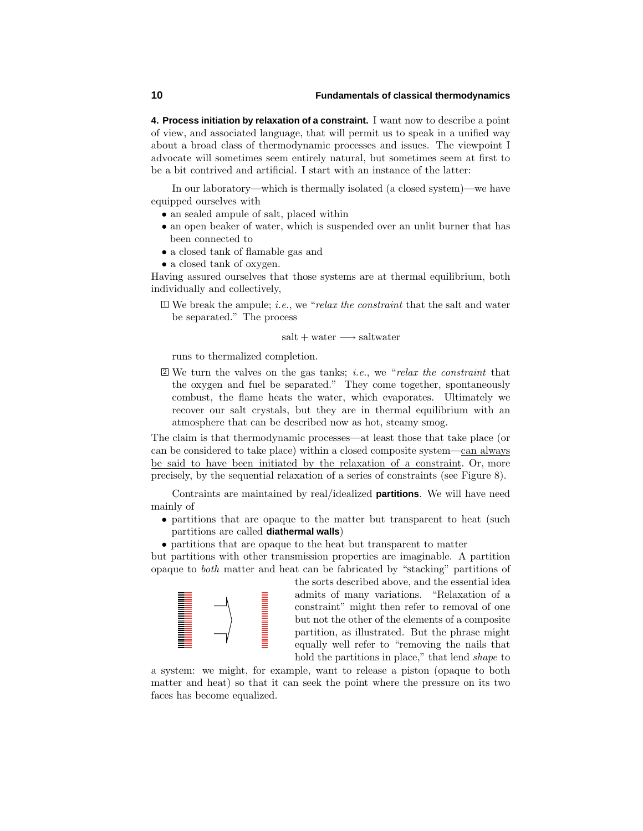**4. Process initiation by relaxation of a constraint.** I want now to describe a point of view, and associated language, that will permit us to speak in a unified way about a broad class of thermodynamic processes and issues. The viewpoint I advocate will sometimes seem entirely natural, but sometimes seem at first to be a bit contrived and artificial. I start with an instance of the latter:

In our laboratory—which is thermally isolated (a closed system)—we have equipped ourselves with

- an sealed ampule of salt, placed within
- an open beaker of water, which is suspended over an unlit burner that has been connected to
- a closed tank of flamable gas and
- a closed tank of oxygen.

Having assured ourselves that those systems are at thermal equilibrium, both individually and collectively,

 $\mathbb{I}$  We break the ampule; *i.e.*, we "*relax the constraint* that the salt and water be separated." The process

 $salt + water \longrightarrow saltwater$ 

runs to thermalized completion.

 $\mathbb{Z}$  We turn the valves on the gas tanks; *i.e.*, we "relax the constraint that the oxygen and fuel be separated." They come together, spontaneously combust, the flame heats the water, which evaporates. Ultimately we recover our salt crystals, but they are in thermal equilibrium with an atmosphere that can be described now as hot, steamy smog.

The claim is that thermodynamic processes—at least those that take place (or can be considered to take place) within a closed composite system—can always be said to have been initiated by the relaxation of a constraint. Or, more precisely, by the sequential relaxation of a series of constraints (see Figure 8).

Contraints are maintained by real/idealized **partitions**. We will have need mainly of

- partitions that are opaque to the matter but transparent to heat (such partitions are called **diathermal walls**)
- partitions that are opaque to the heat but transparent to matter

but partitions with other transmission properties are imaginable. A partition opaque to both matter and heat can be fabricated by "stacking" partitions of



the sorts described above, and the essential idea admits of many variations. "Relaxation of a constraint" might then refer to removal of one but not the other of the elements of a composite partition, as illustrated. But the phrase might equally well refer to "removing the nails that hold the partitions in place," that lend shape to

a system: we might, for example, want to release a piston (opaque to both matter and heat) so that it can seek the point where the pressure on its two faces has become equalized.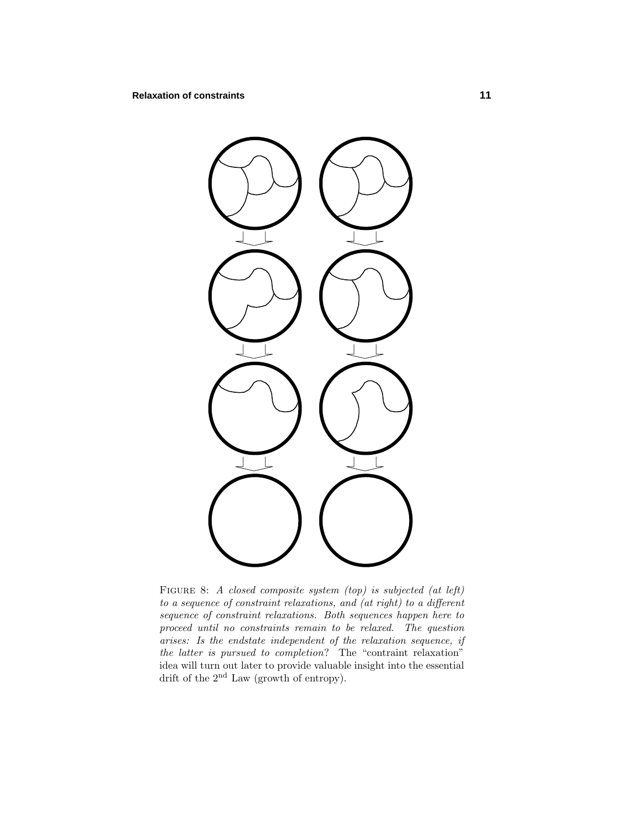

FIGURE 8: A closed composite system (top) is subjected (at left) to a sequence of constraint relaxations, and  $(at\ right)$  to a different sequence of constraint relaxations. Both sequences happen here to proceed until no constraints remain to be relaxed. The question  $arises:$  Is the endstate independent of the relaxation sequence, if the latter is pursued to completion? The "contraint relaxation" idea will turn out later to provide valuable insight into the essential drift of the 2<sup>nd</sup> Law (growth of entropy).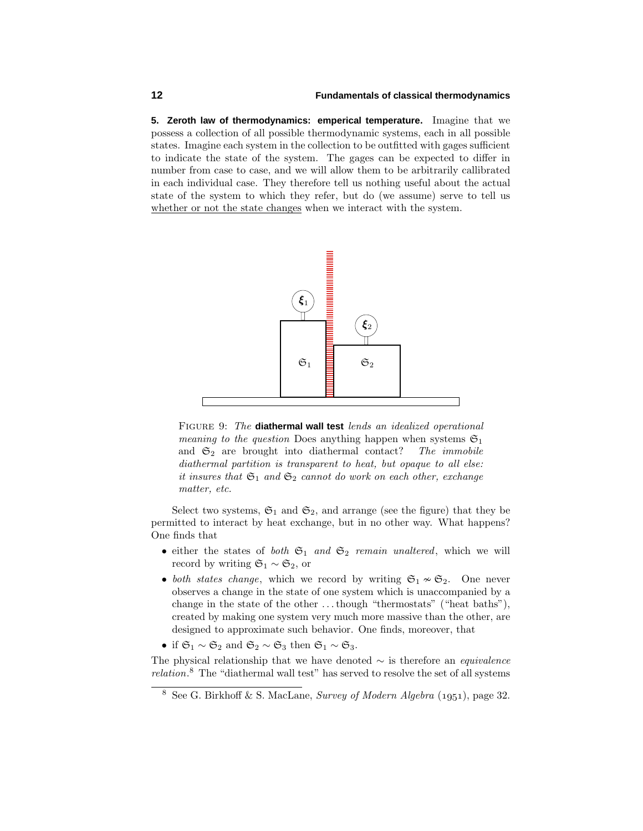**5. Zeroth law of thermodynamics: emperical temperature.** Imagine that we possess a collection of all possible thermodynamic systems, each in all possible states. Imagine each system in the collection to be outfitted with gages sufficient to indicate the state of the system. The gages can be expected to differ in number from case to case, and we will allow them to be arbitrarily callibrated in each individual case. They therefore tell us nothing useful about the actual state of the system to which they refer, but do (we assume) serve to tell us whether or not the state changes when we interact with the system.



Figure 9: The **diathermal wall test** lends an idealized operational *meaning to the question* Does anything happen when systems  $\mathfrak{S}_1$ and  $\mathfrak{S}_2$  are brought into diathermal contact? The immobile diathermal partition is transparent to heat, but opaque to all else: it insures that  $\mathfrak{S}_1$  and  $\mathfrak{S}_2$  cannot do work on each other, exchange matter, etc.

Select two systems,  $\mathfrak{S}_1$  and  $\mathfrak{S}_2$ , and arrange (see the figure) that they be permitted to interact by heat exchange, but in no other way. What happens? One finds that

- either the states of both  $\mathfrak{S}_1$  and  $\mathfrak{S}_2$  remain unaltered, which we will record by writing  $\mathfrak{S}_1 \sim \mathfrak{S}_2$ , or
- both states change, which we record by writing  $\mathfrak{S}_1 \sim \mathfrak{S}_2$ . One never observes a change in the state of one system which is unaccompanied by a change in the state of the other *...*though "thermostats" ("heat baths"), created by making one system very much more massive than the other, are designed to approximate such behavior. One finds, moreover, that
- if  $\mathfrak{S}_1 \sim \mathfrak{S}_2$  and  $\mathfrak{S}_2 \sim \mathfrak{S}_3$  then  $\mathfrak{S}_1 \sim \mathfrak{S}_3$ .

The physical relationship that we have denoted  $\sim$  is therefore an *equivalence* relation.<sup>8</sup> The "diathermal wall test" has served to resolve the set of all systems

<sup>&</sup>lt;sup>8</sup> See G. Birkhoff & S. MacLane, *Survey of Modern Algebra* (1951), page 32.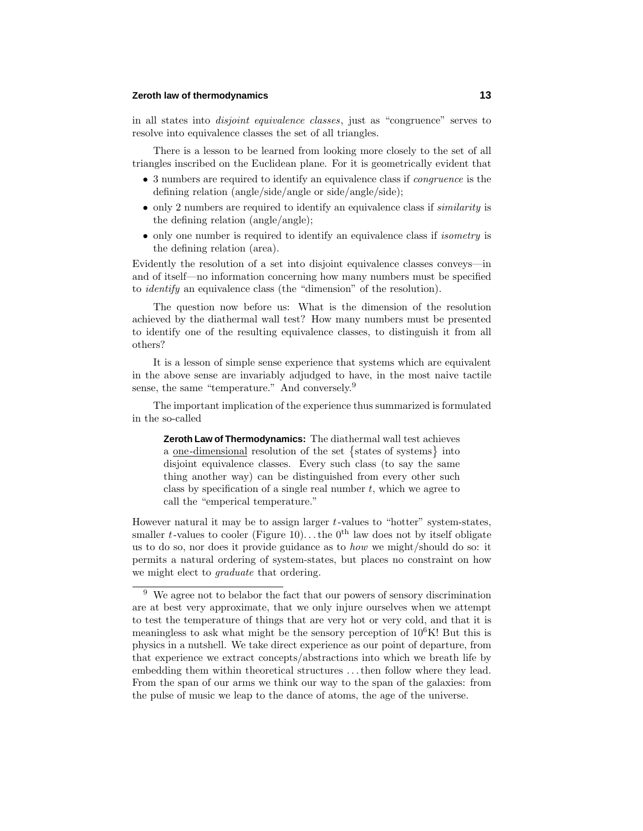### **Zeroth law of thermodynamics 13**

in all states into disjoint equivalence classes, just as "congruence" serves to resolve into equivalence classes the set of all triangles.

There is a lesson to be learned from looking more closely to the set of all triangles inscribed on the Euclidean plane. For it is geometrically evident that

- 3 numbers are required to identify an equivalence class if *congruence* is the defining relation (angle/side/angle or side/angle/side);
- only 2 numbers are required to identify an equivalence class if *similarity* is the defining relation (angle/angle);
- only one number is required to identify an equivalence class if *isometry* is the defining relation (area).

Evidently the resolution of a set into disjoint equivalence classes conveys—in and of itself—no information concerning how many numbers must be specified to identify an equivalence class (the "dimension" of the resolution).

The question now before us: What is the dimension of the resolution achieved by the diathermal wall test? How many numbers must be presented to identify one of the resulting equivalence classes, to distinguish it from all others?

It is a lesson of simple sense experience that systems which are equivalent in the above sense are invariably adjudged to have, in the most naive tactile sense, the same "temperature." And conversely.<sup>9</sup>

The important implication of the experience thus summarized is formulated in the so-called

**Zeroth Law of Thermodynamics:** The diathermal wall test achieves a <u>one-dimensional</u> resolution of the set  $\{states of systems\}$  into disjoint equivalence classes. Every such class (to say the same thing another way) can be distinguished from every other such class by specification of a single real number *t*, which we agree to call the "emperical temperature."

However natural it may be to assign larger *t*-values to "hotter" system-states, smaller *t*-values to cooler (Figure 10)...the  $0^{th}$  law does not by itself obligate us to do so, nor does it provide guidance as to how we might/should do so: it permits a natural ordering of system-states, but places no constraint on how we might elect to *graduate* that ordering.

 $9\,$  We agree not to belabor the fact that our powers of sensory discrimination are at best very approximate, that we only injure ourselves when we attempt to test the temperature of things that are very hot or very cold, and that it is meaningless to ask what might be the sensory perception of  $10^6$ K! But this is physics in a nutshell. We take direct experience as our point of departure, from that experience we extract concepts/abstractions into which we breath life by embedding them within theoretical structures *...*then follow where they lead. From the span of our arms we think our way to the span of the galaxies: from the pulse of music we leap to the dance of atoms, the age of the universe.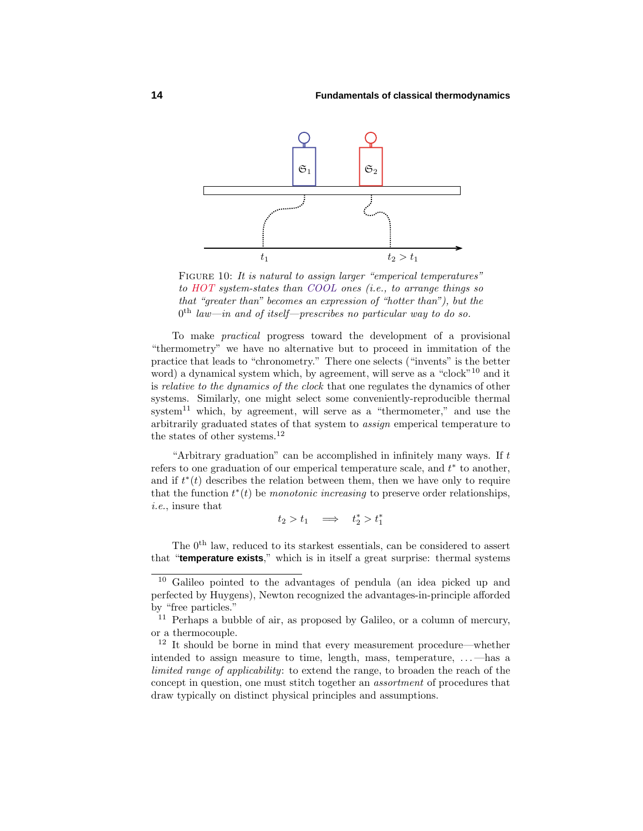

FIGURE 10: It is natural to assign larger "emperical temperatures" to  $HOT$  system-states than  $COOL$  ones (i.e., to arrange things so that "greater than" becomes an expression of "hotter than"), but the  $0^{th}$  law—in and of itself—prescribes no particular way to do so.

To make practical progress toward the development of a provisional "thermometry" we have no alternative but to proceed in immitation of the practice that leads to "chronometry." There one selects ("invents" is the better word) a dynamical system which, by agreement, will serve as a "clock"<sup>10</sup> and it is relative to the dynamics of the clock that one regulates the dynamics of other systems. Similarly, one might select some conveniently-reproducible thermal system<sup>11</sup> which, by agreement, will serve as a "thermometer," and use the arbitrarily graduated states of that system to assign emperical temperature to the states of other systems.<sup>12</sup>

"Arbitrary graduation" can be accomplished in infinitely many ways. If *t* refers to one graduation of our emperical temperature scale, and *t* <sup>∗</sup> to another, and if *t* <sup>∗</sup>(*t*) describes the relation between them, then we have only to require that the function  $t^*(t)$  be *monotonic increasing* to preserve order relationships, i.e., insure that

 $t_2 > t_1 \implies t_2^* > t_1^*$ 

The 0<sup>th</sup> law, reduced to its starkest essentials, can be considered to assert that "**temperature exists**," which is in itself a great surprise: thermal systems

<sup>10</sup> Galileo pointed to the advantages of pendula (an idea picked up and perfected by Huygens), Newton recognized the advantages-in-principle afforded by "free particles."

 $11$  Perhaps a bubble of air, as proposed by Galileo, or a column of mercury, or a thermocouple.

<sup>12</sup> It should be borne in mind that every measurement procedure—whether intended to assign measure to time, length, mass, temperature, *...*—has a limited range of applicability: to extend the range, to broaden the reach of the concept in question, one must stitch together an assortment of procedures that draw typically on distinct physical principles and assumptions.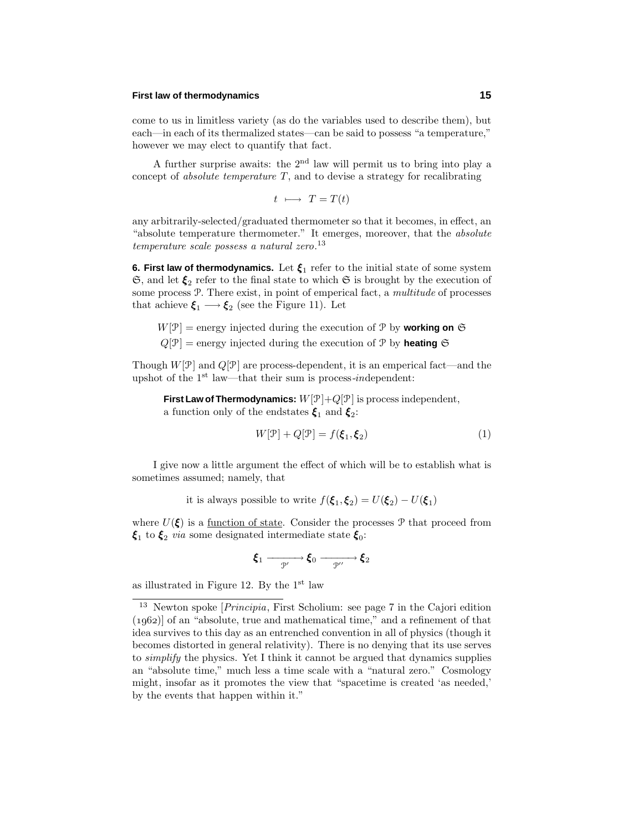### **First law of thermodynamics 15**

come to us in limitless variety (as do the variables used to describe them), but each—in each of its thermalized states—can be said to possess "a temperature," however we may elect to quantify that fact.

A further surprise awaits: the  $2<sup>nd</sup>$  law will permit us to bring into play a concept of absolute temperature *T*, and to devise a strategy for recalibrating

 $t \mapsto T = T(t)$ 

any arbitrarily-selected/graduated thermometer so that it becomes, in effect, an "absolute temperature thermometer." It emerges, moreover, that the absolute temperature scale possess a natural zero. 13

**6. First law of thermodynamics.** Let  $\xi_1$  refer to the initial state of some system  $\mathfrak{S}$ , and let  $\mathfrak{C}_2$  refer to the final state to which  $\mathfrak{S}$  is brought by the execution of some process  $\mathcal{P}$ . There exist, in point of emperical fact, a *multitude* of processes that achieve  $\xi_1 \longrightarrow \xi_2$  (see the Figure 11). Let

 $W[\mathcal{P}]$  = energy injected during the execution of  $\mathcal{P}$  by **working on**  $\mathfrak{S}$ 

 $Q[\mathcal{P}]$  = energy injected during the execution of  $\mathcal{P}$  by **heating**  $\mathfrak{S}$ 

Though  $W[\mathcal{P}]$  and  $Q[\mathcal{P}]$  are process-dependent, it is an emperical fact—and the upshot of the  $1<sup>st</sup>$  law—that their sum is process-independent:

**First Law of Thermodynamics:**  $W[\mathcal{P}]+Q[\mathcal{P}]$  is process independent, a function only of the endstates  $\xi_1$  and  $\xi_2$ :

$$
W[\mathcal{P}] + Q[\mathcal{P}] = f(\xi_1, \xi_2)
$$
\n(1)

I give now a little argument the effect of which will be to establish what is sometimes assumed; namely, that

it is always possible to write  $f(\boldsymbol{\xi}_1, \boldsymbol{\xi}_2) = U(\boldsymbol{\xi}_2) - U(\boldsymbol{\xi}_1)$ 

where  $U(\xi)$  is a <u>function of state</u>. Consider the processes  $\mathcal{P}$  that proceed from *ξ*<sup>1</sup> to *ξ*<sup>2</sup> via some designated intermediate state *ξ*0:

$$
\boldsymbol{\xi}_1 \longrightarrow {\boldsymbol{\xi}_0} \longrightarrow {\boldsymbol{\xi}_2}
$$

as illustrated in Figure 12. By the  $1<sup>st</sup>$  law

<sup>13</sup> Newton spoke [Principia, First Scholium: see page 7 in the Cajori edition  $(1962)$  of an "absolute, true and mathematical time," and a refinement of that idea survives to this day as an entrenched convention in all of physics (though it becomes distorted in general relativity). There is no denying that its use serves to *simplify* the physics. Yet I think it cannot be argued that dynamics supplies an "absolute time," much less a time scale with a "natural zero." Cosmology might, insofar as it promotes the view that "spacetime is created 'as needed,' by the events that happen within it."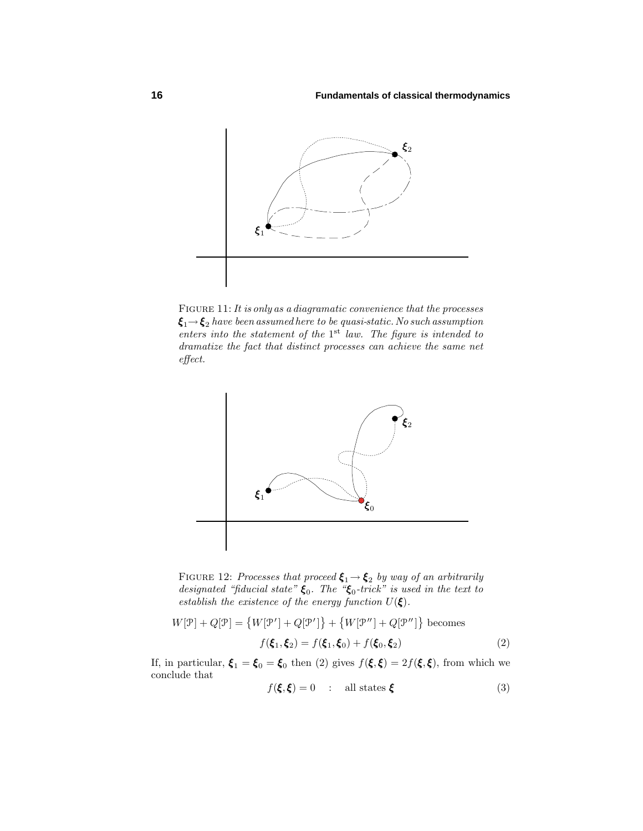

FIGURE  $11:$  It is only as a diagramatic convenience that the processes *ξ*1→*ξ*<sup>2</sup> have been assumed here to be quasi-static. No such assumption enters into the statement of the  $1<sup>st</sup>$  law. The figure is intended to dramatize the fact that distinct processes can achieve the same net effect.



FIGURE 12: Processes that proceed  $\xi_1 \rightarrow \xi_2$  by way of an arbitrarily designated "fiducial state" *ξ*0. The "*ξ*0-trick" is used in the text to establish the existence of the energy function  $U(\xi)$ .

$$
W[\mathcal{P}] + Q[\mathcal{P}] = \{W[\mathcal{P}'] + Q[\mathcal{P}']\} + \{W[\mathcal{P}''] + Q[\mathcal{P}'']\}\text{ becomes}
$$

$$
f(\xi_1, \xi_2) = f(\xi_1, \xi_0) + f(\xi_0, \xi_2)
$$
(2)

If, in particular,  $\xi_1 = \xi_0 = \xi_0$  then (2) gives  $f(\xi, \xi) = 2f(\xi, \xi)$ , from which we conclude that

$$
f(\xi, \xi) = 0 \qquad \text{all states } \xi \tag{3}
$$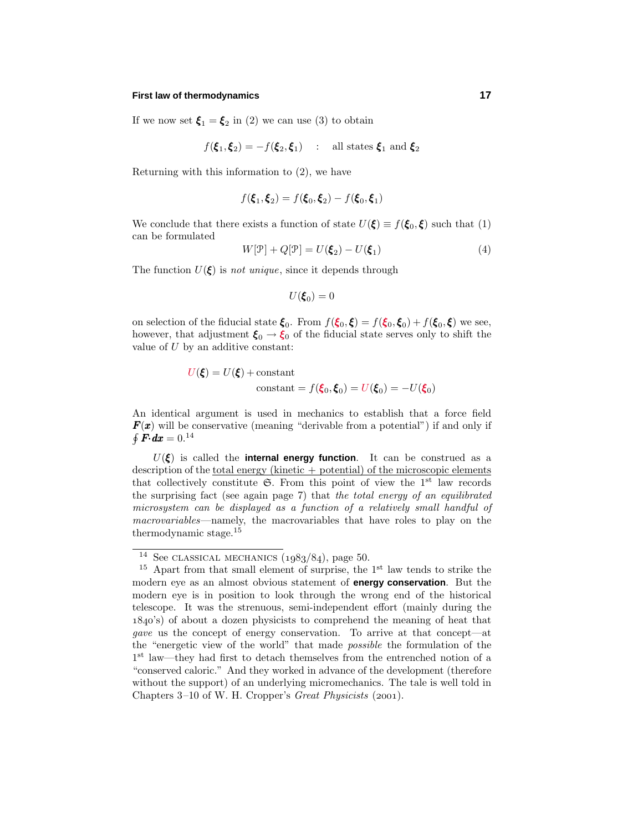### **First law of thermodynamics 17**

If we now set  $\boldsymbol{\xi}_1 = \boldsymbol{\xi}_2$  in (2) we can use (3) to obtain

$$
f(\xi_1, \xi_2) = -f(\xi_2, \xi_1)
$$
 : all states  $\xi_1$  and  $\xi_2$ 

Returning with this information to (2), we have

$$
f(\boldsymbol{\xi}_1,\boldsymbol{\xi}_2)=f(\boldsymbol{\xi}_0,\boldsymbol{\xi}_2)-f(\boldsymbol{\xi}_0,\boldsymbol{\xi}_1)
$$

We conclude that there exists a function of state  $U(\xi) \equiv f(\xi_0, \xi)$  such that (1) can be formulated

$$
W[\mathcal{P}] + Q[\mathcal{P}] = U(\xi_2) - U(\xi_1)
$$
\n<sup>(4)</sup>

The function  $U(\xi)$  is *not unique*, since it depends through

$$
U(\pmb{\xi}_0)=0
$$

on selection of the fiducial state  $\boldsymbol{\xi}_0$ . From  $f(\boldsymbol{\xi}_0, \boldsymbol{\xi}) = f(\boldsymbol{\xi}_0, \boldsymbol{\xi}_0) + f(\boldsymbol{\xi}_0, \boldsymbol{\xi})$  we see, however, that adjustment  $\xi_0 \rightarrow \xi_0$  of the fiducial state serves only to shift the value of *U* by an additive constant:

$$
U(\boldsymbol{\xi}) = U(\boldsymbol{\xi}) + \text{constant}
$$
  
constant =  $f(\boldsymbol{\xi}_0, \boldsymbol{\xi}_0) = U(\boldsymbol{\xi}_0) = -U(\boldsymbol{\xi}_0)$ 

An identical argument is used in mechanics to establish that a force field  $F(x)$  will be conservative (meaning "derivable from a potential") if and only if  $\oint \bm{F} \cdot \bm{dx} = 0.^{14}$ 

 $U(\xi)$  is called the **internal energy function**. It can be construed as a description of the total energy (kinetic + potential) of the microscopic elements that collectively constitute  $\mathfrak{S}$ . From this point of view the 1<sup>st</sup> law records the surprising fact (see again page 7) that the total energy of an equilibrated microsystem can be displayed as a function of a relatively small handful of macrovariables—namely, the macrovariables that have roles to play on the thermodynamic stage.<sup>15</sup>

 $^{14}$  See classical mechanics ( $1983/84$ ), page 50.

 $15$  Apart from that small element of surprise, the  $1<sup>st</sup>$  law tends to strike the modern eye as an almost obvious statement of **energy conservation**. But the modern eye is in position to look through the wrong end of the historical telescope. It was the strenuous, semi-independent effort (mainly during the  $1840's$ ) of about a dozen physicists to comprehend the meaning of heat that gave us the concept of energy conservation. To arrive at that concept—at the "energetic view of the world" that made possible the formulation of the 1st law—they had first to detach themselves from the entrenched notion of a "conserved caloric." And they worked in advance of the development (therefore without the support) of an underlying micromechanics. The tale is well told in Chapters  $3-10$  of W. H. Cropper's *Great Physicists* (2001).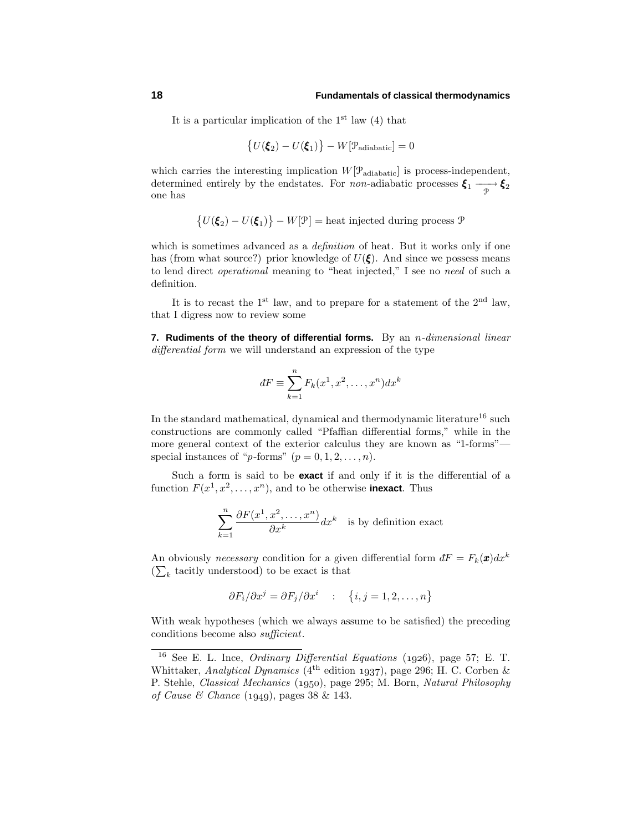It is a particular implication of the  $1<sup>st</sup>$  law (4) that

$$
\{U(\boldsymbol{\xi}_2) - U(\boldsymbol{\xi}_1)\} - W[\mathcal{P}_{\text{adiabatic}}] = 0
$$

which carries the interesting implication  $W[\mathcal{P}_{adiabatic}]$  is process-independent, determined entirely by the endstates. For *non*-adiabatic processes  $\xi_1 \longrightarrow \xi_2$ one has

 $\{U(\boldsymbol{\xi}_2) - U(\boldsymbol{\xi}_1)\} - W[\mathcal{P}]$  = heat injected during process  $\mathcal{P}$ 

which is sometimes advanced as a *definition* of heat. But it works only if one has (from what source?) prior knowledge of  $U(\xi)$ . And since we possess means to lend direct operational meaning to "heat injected," I see no need of such a definition.

It is to recast the  $1^{st}$  law, and to prepare for a statement of the  $2^{nd}$  law, that I digress now to review some

**7. Rudiments of the theory of differential forms.** By an *n*-dimensional linear differential form we will understand an expression of the type

$$
dF \equiv \sum_{k=1}^{n} F_k(x^1, x^2, \dots, x^n) dx^k
$$

In the standard mathematical, dynamical and thermodynamic literature<sup>16</sup> such constructions are commonly called "Pfaffian differential forms," while in the more general context of the exterior calculus they are known as "1-forms" special instances of "*p*-forms"  $(p = 0, 1, 2, \ldots, n)$ .

Such a form is said to be **exact** if and only if it is the differential of a function  $F(x^1, x^2, \ldots, x^n)$ , and to be otherwise **inexact**. Thus

$$
\sum_{k=1}^{n} \frac{\partial F(x^1, x^2, \dots, x^n)}{\partial x^k} dx^k
$$
 is by definition exact

An obviously necessary condition for a given differential form  $dF = F_k(\boldsymbol{x})dx^k$  $(\sum_{k}$  tacitly understood) to be exact is that

$$
\partial F_i / \partial x^j = \partial F_j / \partial x^i \quad : \quad \{i, j = 1, 2, \dots, n\}
$$

With weak hypotheses (which we always assume to be satisfied) the preceding conditions become also sufficient.

<sup>&</sup>lt;sup>16</sup> See E. L. Ince, *Ordinary Differential Equations* (1926), page 57; E. T. Whittaker, Analytical Dynamics ( $4<sup>th</sup>$  edition 1937), page 296; H. C. Corben & P. Stehle, Classical Mechanics (1950), page 295; M. Born, Natural Philosophy of Cause & Chance (1949), pages  $38 \& 143$ .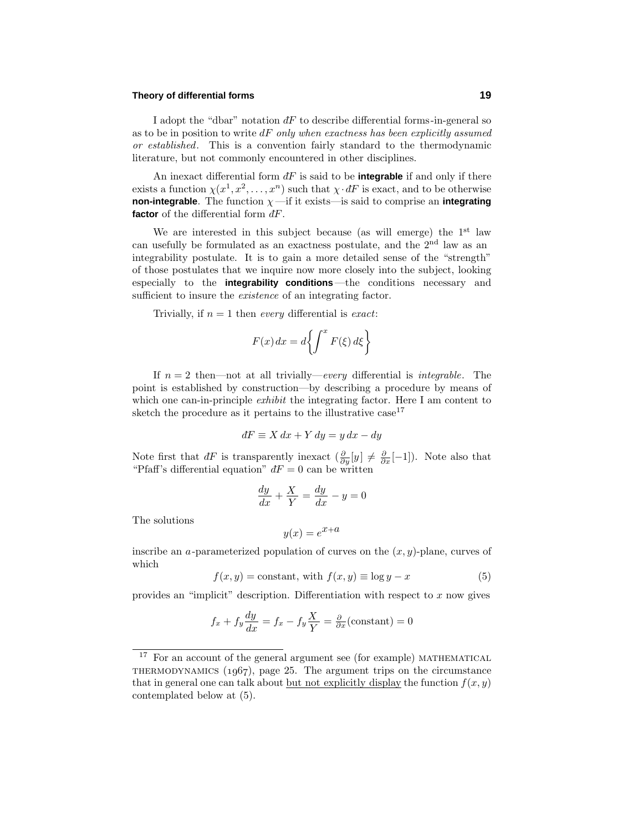### **Theory of differential forms 19**

I adopt the "dbar" notation  $dF$  to describe differential forms-in-general so as to be in position to write  $dF$  only when exactness has been explicitly assumed or established. This is a convention fairly standard to the thermodynamic literature, but not commonly encountered in other disciplines.

An inexact differential form  $dF$  is said to be **integrable** if and only if there exists a function  $\chi(x^1, x^2, \ldots, x^n)$  such that  $\chi \cdot dF$  is exact, and to be otherwise **non-integrable**. The function *χ*—if it exists—is said to comprise an **integrating factor** of the differential form  $dF$ .

We are interested in this subject because (as will emerge) the  $1<sup>st</sup>$  law can usefully be formulated as an exactness postulate, and the 2<sup>nd</sup> law as an integrability postulate. It is to gain a more detailed sense of the "strength" of those postulates that we inquire now more closely into the subject, looking especially to the **integrability conditions**—the conditions necessary and sufficient to insure the *existence* of an integrating factor.

Trivially, if  $n = 1$  then every differential is exact:

$$
F(x) dx = d \left\{ \int^x F(\xi) d\xi \right\}
$$

If  $n = 2$  then—not at all trivially—every differential is *integrable*. The point is established by construction—by describing a procedure by means of which one can-in-principle *exhibit* the integrating factor. Here I am content to sketch the procedure as it pertains to the illustrative case  $17$ 

$$
dF \equiv X \, dx + Y \, dy = y \, dx - dy
$$

Note first that  $dF$  is transparently inexact  $(\frac{\partial}{\partial y}[y] \neq \frac{\partial}{\partial x}[-1])$ . Note also that "Pfaff's differential equation"  $dF = 0$  can be written

$$
\frac{dy}{dx} + \frac{X}{Y} = \frac{dy}{dx} - y = 0
$$

The solutions

$$
y(x) = e^{x+a}
$$

inscribe an *a*-parameterized population of curves on the  $(x, y)$ -plane, curves of which

$$
f(x, y) = \text{constant}, \text{ with } f(x, y) \equiv \log y - x \tag{5}
$$

provides an "implicit" description. Differentiation with respect to *x* now gives

$$
f_x + f_y \frac{dy}{dx} = f_x - f_y \frac{X}{Y} = \frac{\partial}{\partial x} \text{(constant)} = 0
$$

<sup>&</sup>lt;sup>17</sup> For an account of the general argument see (for example) MATHEMATICAL THERMODYNAMICS  $(1967)$ , page 25. The argument trips on the circumstance that in general one can talk about <u>but not explicitly display</u> the function  $f(x, y)$ contemplated below at (5).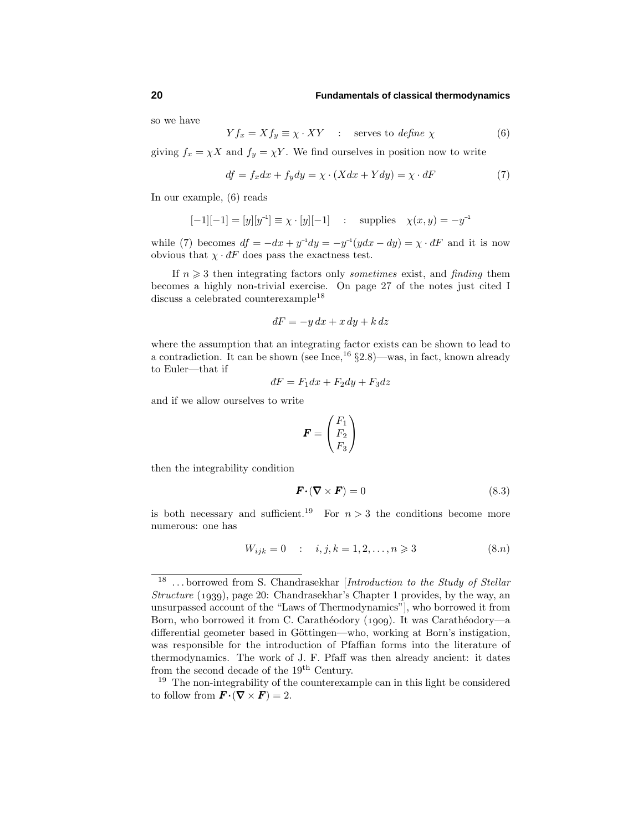so we have

$$
Yf_x = Xf_y \equiv \chi \cdot XY
$$
: serves to define  $\chi$  (6)

giving  $f_x = \chi X$  and  $f_y = \chi Y$ . We find ourselves in position now to write

$$
df = f_x dx + f_y dy = \chi \cdot (X dx + Y dy) = \chi \cdot dF \tag{7}
$$

In our example, (6) reads

$$
[-1][-1] = [y][y^{-1}] \equiv \chi \cdot [y][-1]
$$
 : supplies  $\chi(x, y) = -y^{-1}$ 

while (7) becomes  $df = -dx + y^{-1}dy = -y^{-1}(ydx - dy) = \chi \cdot dF$  and it is now obvious that  $\chi \cdot dF$  does pass the exactness test.

If  $n \geq 3$  then integrating factors only *sometimes* exist, and *finding* them becomes a highly non-trivial exercise. On page 27 of the notes just cited I discuss a celebrated counterexample<sup>18</sup>

$$
dF = -y\,dx + x\,dy + k\,dz
$$

where the assumption that an integrating factor exists can be shown to lead to a contradiction. It can be shown (see Ince,  $^{16}$  §2.8)—was, in fact, known already to Euler—that if

$$
dF = F_1 dx + F_2 dy + F_3 dz
$$

and if we allow ourselves to write

$$
\boldsymbol{F} = \begin{pmatrix} F_1 \\ F_2 \\ F_3 \end{pmatrix}
$$

then the integrability condition

$$
\boldsymbol{F} \cdot (\boldsymbol{\nabla} \times \boldsymbol{F}) = 0 \tag{8.3}
$$

is both necessary and sufficient.<sup>19</sup> For  $n > 3$  the conditions become more numerous: one has

$$
W_{ijk} = 0 \t ; i, j, k = 1, 2, ..., n \ge 3 \t (8.n)
$$

 $^{18}\,$   $\ldots$  borrowed from S. Chandrasekhar [ $Introduction\ to\ the\ Study\ of\ Stella\ r$ Structure  $(1939)$ , page 20: Chandrasekhar's Chapter 1 provides, by the way, an unsurpassed account of the "Laws of Thermodynamics"], who borrowed it from Born, who borrowed it from C. Carathéodory  $(1909)$ . It was Carathéodory—a differential geometer based in Göttingen—who, working at Born's instigation, was responsible for the introduction of Pfaffian forms into the literature of thermodynamics. The work of J. F. Pfaff was then already ancient: it dates from the second decade of the 19th Century.

<sup>&</sup>lt;sup>19</sup> The non-integrability of the counterexample can in this light be considered to follow from  $\mathbf{F} \cdot (\nabla \times \mathbf{F}) = 2$ .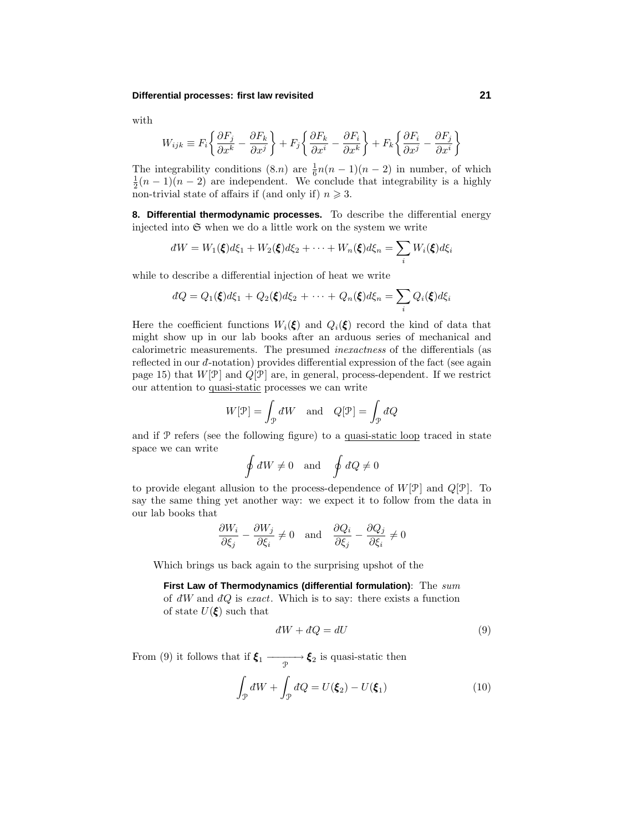### **Differential processes: first law revisited 21**

with

$$
W_{ijk} \equiv F_i \left\{ \frac{\partial F_j}{\partial x^k} - \frac{\partial F_k}{\partial x^j} \right\} + F_j \left\{ \frac{\partial F_k}{\partial x^i} - \frac{\partial F_i}{\partial x^k} \right\} + F_k \left\{ \frac{\partial F_i}{\partial x^j} - \frac{\partial F_j}{\partial x^i} \right\}
$$

The integrability conditions  $(8.n)$  are  $\frac{1}{6}n(n-1)(n-2)$  in number, of which  $\frac{1}{2}(n-1)(n-2)$  are independent. We conclude that integrability is a highly non-trivial state of affairs if (and only if)  $n \geq 3$ .

**8. Differential thermodynamic processes.** To describe the differential energy injected into  $\mathfrak S$  when we do a little work on the system we write

$$
dW = W_1(\boldsymbol{\xi})d\xi_1 + W_2(\boldsymbol{\xi})d\xi_2 + \cdots + W_n(\boldsymbol{\xi})d\xi_n = \sum_i W_i(\boldsymbol{\xi})d\xi_i
$$

while to describe a differential injection of heat we write

$$
dQ = Q_1(\boldsymbol{\xi})d\xi_1 + Q_2(\boldsymbol{\xi})d\xi_2 + \cdots + Q_n(\boldsymbol{\xi})d\xi_n = \sum_i Q_i(\boldsymbol{\xi})d\xi_i
$$

Here the coefficient functions  $W_i(\boldsymbol{\xi})$  and  $Q_i(\boldsymbol{\xi})$  record the kind of data that might show up in our lab books after an arduous series of mechanical and calorimetric measurements. The presumed inexactness of the differentials (as reflected in our *d*-notation) provides differential expression of the fact (see again page 15) that  $W[\mathcal{P}]$  and  $Q[\mathcal{P}]$  are, in general, process-dependent. If we restrict our attention to quasi-static processes we can write

$$
W[\mathcal{P}] = \int_{\mathcal{P}} dW \quad \text{and} \quad Q[\mathcal{P}] = \int_{\mathcal{P}} dQ
$$

and if P refers (see the following figure) to a quasi-static loop traced in state space we can write

$$
\oint dW \neq 0 \quad \text{and} \quad \oint dQ \neq 0
$$

to provide elegant allusion to the process-dependence of *W*[P] and *Q*[P]. To say the same thing yet another way: we expect it to follow from the data in our lab books that

$$
\frac{\partial W_i}{\partial \xi_j} - \frac{\partial W_j}{\partial \xi_i} \neq 0 \quad \text{and} \quad \frac{\partial Q_i}{\partial \xi_j} - \frac{\partial Q_j}{\partial \xi_i} \neq 0
$$

Which brings us back again to the surprising upshot of the

**First Law of Thermodynamics (differential formulation)**: The sum of  $dW$  and  $dQ$  is exact. Which is to say: there exists a function of state  $U(\xi)$  such that

$$
dW + dQ = dU \tag{9}
$$

From (9) it follows that if  $\xi_1 \longrightarrow \xi_2$  is quasi-static then

$$
\int_{\mathcal{P}} dW + \int_{\mathcal{P}} dQ = U(\xi_2) - U(\xi_1)
$$
\n(10)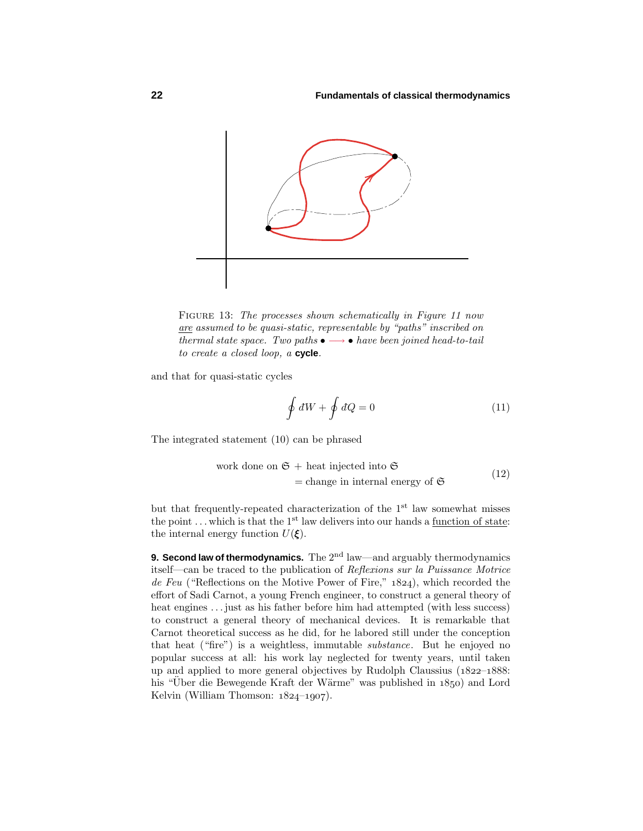

FIGURE 13: The processes shown schematically in Figure 11 now are assumed to be quasi-static, representable by "paths" inscribed on thermal state space. Two paths  $\bullet \longrightarrow \bullet$  have been joined head-to-tail to create a closed loop, a **cycle**.

and that for quasi-static cycles

$$
\oint dW + \oint dQ = 0 \tag{11}
$$

The integrated statement (10) can be phrased

work done on 
$$
\mathfrak{S} +
$$
 heat injected into  $\mathfrak{S}$   
= change in internal energy of  $\mathfrak{S}$  (12)

but that frequently-repeated characterization of the  $1<sup>st</sup>$  law somewhat misses the point  $\dots$  which is that the 1<sup>st</sup> law delivers into our hands a <u>function of state</u>: the internal energy function  $U(\xi)$ .

**9. Second law of thermodynamics.** The 2<sup>nd</sup> law—and arguably thermodynamics itself—can be traced to the publication of Reflexions sur la Puissance Motrice de Feu ("Reflections on the Motive Power of Fire,"  $1824$ ), which recorded the effort of Sadi Carnot, a young French engineer, to construct a general theory of heat engines ... just as his father before him had attempted (with less success) to construct a general theory of mechanical devices. It is remarkable that Carnot theoretical success as he did, for he labored still under the conception that heat ("fire") is a weightless, immutable substance. But he enjoyed no popular success at all: his work lay neglected for twenty years, until taken up and applied to more general objectives by Rudolph Claussius  $(1822-1888)$ : his "Uber die Bewegende Kraft der Wärme" was published in 1850) and Lord Kelvin (William Thomson:  $1824-1907$ ).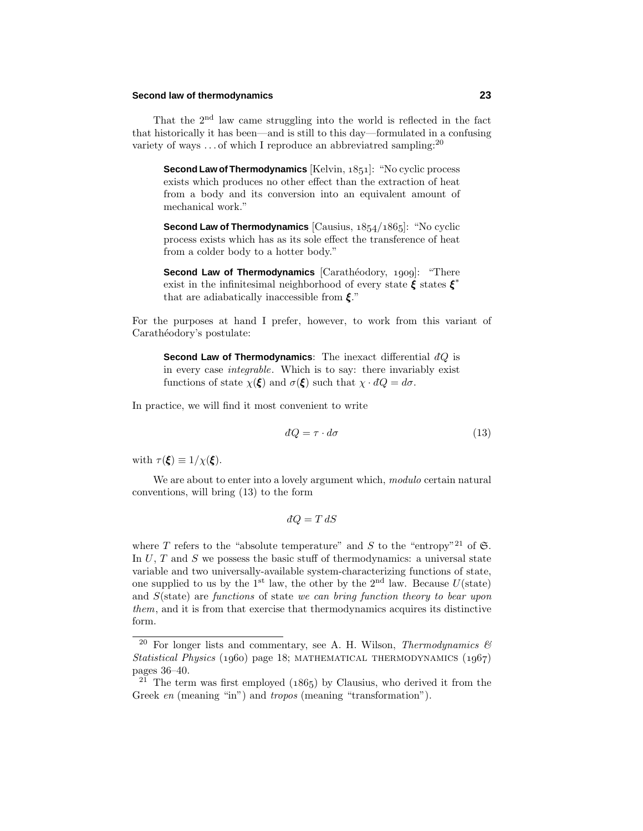### **Second law of thermodynamics 23**

That the 2nd law came struggling into the world is reflected in the fact that historically it has been—and is still to this day—formulated in a confusing variety of ways ... of which I reproduce an abbreviatred sampling:<sup>20</sup>

**Second Law of Thermodynamics** [Kelvin, 1851]: "No cyclic process exists which produces no other effect than the extraction of heat from a body and its conversion into an equivalent amount of mechanical work."

**Second Law of Thermodynamics** [Causius,  $1854/1865$ ]: "No cyclic process exists which has as its sole effect the transference of heat from a colder body to a hotter body."

**Second Law of Thermodynamics** [Carathéodory, 1909]: "There exist in the infinitesimal neighborhood of every state *ξ* states *ξ*<sup>∗</sup> that are adiabatically inaccessible from *ξ*."

For the purposes at hand I prefer, however, to work from this variant of Carathéodory's postulate:

**Second Law of Thermodynamics**: The inexact differential  $dQ$  is in every case integrable. Which is to say: there invariably exist functions of state  $\chi(\xi)$  and  $\sigma(\xi)$  such that  $\chi \cdot dQ = d\sigma$ .

In practice, we will find it most convenient to write

$$
dQ = \tau \cdot d\sigma \tag{13}
$$

with  $\tau(\xi) \equiv 1/\chi(\xi)$ .

We are about to enter into a lovely argument which, modulo certain natural conventions, will bring (13) to the form

$$
dQ = T dS
$$

where *T* refers to the "absolute temperature" and *S* to the "entropy"<sup>21</sup> of  $\mathfrak{S}$ . In *U*, *T* and *S* we possess the basic stuff of thermodynamics: a universal state variable and two universally-available system-characterizing functions of state, one supplied to us by the 1<sup>st</sup> law, the other by the  $2<sup>nd</sup>$  law. Because  $U(\text{state})$ and *S*(state) are functions of state we can bring function theory to bear upon them, and it is from that exercise that thermodynamics acquires its distinctive form.

<sup>&</sup>lt;sup>20</sup> For longer lists and commentary, see A. H. Wilson, *Thermodynamics*  $\mathcal{C}$ Statistical Physics (1960) page 18; MATHEMATICAL THERMODYNAMICS (1967) pages 36–40.

<sup>&</sup>lt;sup>21</sup> The term was first employed  $(1865)$  by Clausius, who derived it from the Greek en (meaning "in") and tropos (meaning "transformation").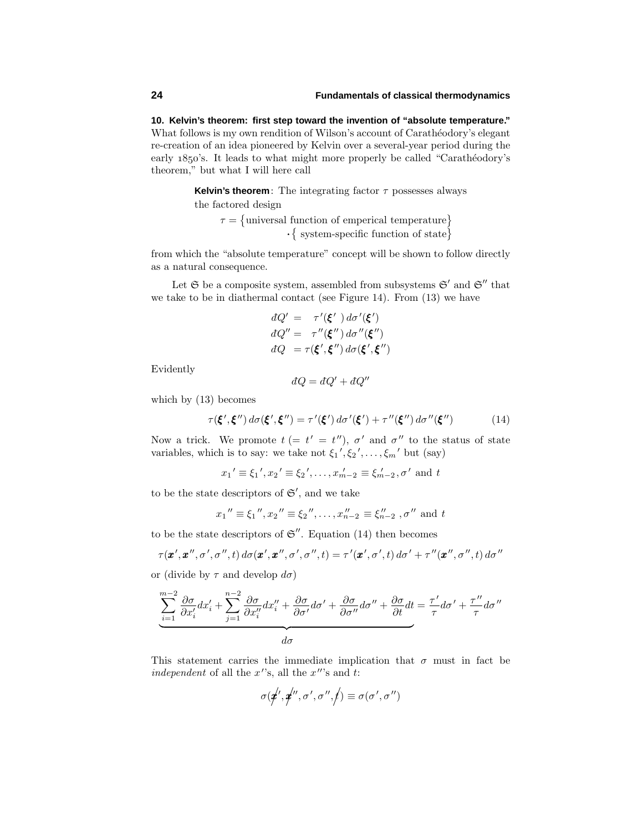**10. Kelvin's theorem: first step toward the invention of "absolute temperature."** What follows is my own rendition of Wilson's account of Carathéodory's elegant re-creation of an idea pioneered by Kelvin over a several-year period during the early  $1850$ 's. It leads to what might more properly be called "Carathéodory's theorem," but what I will here call

> **Kelvin's theorem**: The integrating factor *τ* possesses always the factored design

 $\tau = \{$  universal function of emperical temperature $\}$  $\cdot$  { system-specific function of state}

from which the "absolute temperature" concept will be shown to follow directly as a natural consequence.

Let  $\mathfrak S$  be a composite system, assembled from subsystems  $\mathfrak S'$  and  $\mathfrak S''$  that we take to be in diathermal contact (see Figure 14). From (13) we have

$$
dQ' = \tau'(\xi') d\sigma'(\xi')
$$
  

$$
dQ'' = \tau''(\xi'') d\sigma''(\xi'')
$$
  

$$
dQ = \tau(\xi', \xi'') d\sigma(\xi', \xi'')
$$

Evidently

 $dQ = dQ' + dQ''$ 

which by (13) becomes

$$
\tau(\xi', \xi'') d\sigma(\xi', \xi'') = \tau'(\xi') d\sigma'(\xi') + \tau''(\xi'') d\sigma''(\xi'')
$$
(14)

Now a trick. We promote  $t (= t' = t'')$ ,  $\sigma'$  and  $\sigma''$  to the status of state variables, which is to say: we take not  $\xi_1', \xi_2', \ldots, \xi_m'$  but (say)

 $x_1' \equiv \xi_1', x_2' \equiv \xi_2', \ldots, x'_{m-2} \equiv \xi'_{m-2}, \sigma'$  and *t* 

to be the state descriptors of  $\mathfrak{S}'$ , and we take

$$
x_1'' \equiv \xi_1'', x_2'' \equiv \xi_2'', \ldots, x_{n-2}'' \equiv \xi_{n-2}'', \sigma''
$$
 and  $t$ 

to be the state descriptors of  $\mathfrak{S}^{\prime\prime}$ . Equation (14) then becomes

$$
\tau(\mathbf{x}', \mathbf{x}'', \sigma', \sigma'', t) d\sigma(\mathbf{x}', \mathbf{x}'', \sigma', \sigma'', t) = \tau'(\mathbf{x}', \sigma', t) d\sigma' + \tau''(\mathbf{x}'', \sigma'', t) d\sigma''
$$

or (divide by  $\tau$  and develop  $d\sigma$ )

$$
\underbrace{\sum_{i=1}^{m-2} \frac{\partial \sigma}{\partial x'_i} dx'_i}_{d\sigma} + \sum_{j=1}^{n-2} \underbrace{\frac{\partial \sigma}{\partial x''_i} dx''_i}_{d\sigma} + \underbrace{\frac{\partial \sigma}{\partial \sigma'}}_{d\sigma'} d\sigma'' + \underbrace{\frac{\partial \sigma}{\partial t}}_{d\sigma'} d\sigma'' + \underbrace{\frac{\partial \sigma}{\partial t}}_{d\sigma'} d\sigma' + \frac{\tau''}{\tau} d\sigma''
$$

This statement carries the immediate implication that  $\sigma$  must in fact be independent of all the  $x^{\prime\prime}$ 's, all the  $x^{\prime\prime}$ 's and *t*:

$$
\sigma(\mathbf{x}^{\prime\prime},\mathbf{x}^{\prime\prime\prime},\sigma^{\prime},\sigma^{\prime\prime},\rlap{/}{\not\!f})\equiv\sigma(\sigma^{\prime},\sigma^{\prime\prime})
$$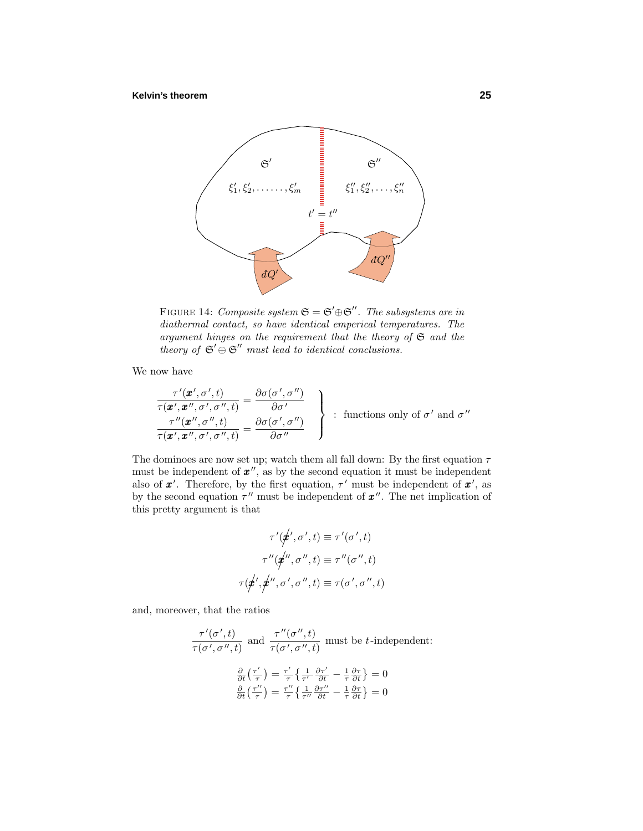### **Kelvin's theorem 25**



FIGURE 14: Composite system  $\mathfrak{S} = \mathfrak{S}' \oplus \mathfrak{S}''$ . The subsystems are in diathermal contact, so have identical emperical temperatures. The argument hinges on the requirement that the theory of  $\mathfrak S$  and the theory of  $\mathfrak{S}' \oplus \mathfrak{S}''$  must lead to identical conclusions.

We now have

$$
\frac{\tau'(\mathbf{x}', \sigma', t)}{\tau(\mathbf{x}', \mathbf{x}'', \sigma', \sigma'', t)} = \frac{\partial \sigma(\sigma', \sigma'')}{\partial \sigma'} \quad \left\{\n\begin{array}{c}\n\tau''(\mathbf{x}'', \sigma'', t) \\
\tau(\mathbf{x}', \mathbf{x}'', \sigma'', t) \\
\tau(\mathbf{x}', \mathbf{x}'', \sigma', \sigma'', t)\n\end{array}\n\right\} \quad \text{functions only of } \sigma' \text{ and } \sigma''
$$

The dominoes are now set up; watch them all fall down: By the first equation *τ* must be independent of  $x''$ , as by the second equation it must be independent also of  $x'$ . Therefore, by the first equation,  $\tau'$  must be independent of  $x'$ , as by the second equation  $\tau''$  must be independent of  $x''$ . The net implication of this pretty argument is that

$$
\tau'(\mathbf{\not} \phi', \sigma', t) \equiv \tau'(\sigma', t)
$$

$$
\tau''(\mathbf{\not} \phi'', \sigma'', t) \equiv \tau''(\sigma'', t)
$$

$$
\tau(\mathbf{\not} \phi', \mathbf{\not} \phi'', \sigma', \sigma'', t) \equiv \tau(\sigma', \sigma'', t)
$$

and, moreover, that the ratios

$$
\frac{\tau'(\sigma',t)}{\tau(\sigma',\sigma'',t)} \text{ and } \frac{\tau''(\sigma'',t)}{\tau(\sigma',\sigma'',t)} \text{ must be } t \text{-independent:}
$$

$$
\frac{\partial}{\partial t} \left(\frac{\tau'}{\tau}\right) = \frac{\tau'}{\tau} \left\{ \frac{1}{\tau'} \frac{\partial \tau'}{\partial t} - \frac{1}{\tau} \frac{\partial \tau}{\partial t} \right\} = 0
$$

$$
\frac{\partial}{\partial t} \left(\frac{\tau''}{\tau}\right) = \frac{\tau''}{\tau} \left\{ \frac{1}{\tau''} \frac{\partial \tau''}{\partial t} - \frac{1}{\tau} \frac{\partial \tau}{\partial t} \right\} = 0
$$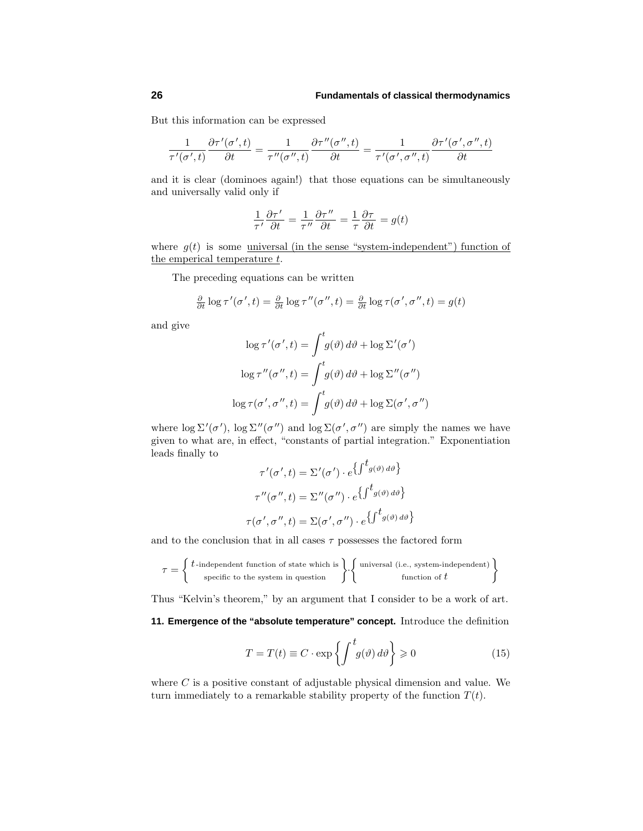But this information can be expressed

$$
\frac{1}{\tau'(\sigma',t)} \frac{\partial \tau'(\sigma',t)}{\partial t} = \frac{1}{\tau''(\sigma'',t)} \frac{\partial \tau''(\sigma'',t)}{\partial t} = \frac{1}{\tau'(\sigma',\sigma'',t)} \frac{\partial \tau'(\sigma',\sigma'',t)}{\partial t}
$$

and it is clear (dominoes again!) that those equations can be simultaneously and universally valid only if

$$
\frac{1}{\tau'}\frac{\partial \tau'}{\partial t} = \frac{1}{\tau''}\frac{\partial \tau''}{\partial t} = \frac{1}{\tau}\frac{\partial \tau}{\partial t} = g(t)
$$

where  $g(t)$  is some <u>universal (in the sense "system-independent")</u> function of the emperical temperature *t*.

The preceding equations can be written

$$
\frac{\partial}{\partial t} \log \tau'(\sigma', t) = \frac{\partial}{\partial t} \log \tau''(\sigma'', t) = \frac{\partial}{\partial t} \log \tau(\sigma', \sigma'', t) = g(t)
$$

and give

$$
\log \tau'(\sigma', t) = \int^t g(\vartheta) d\vartheta + \log \Sigma'(\sigma')
$$

$$
\log \tau''(\sigma'', t) = \int^t g(\vartheta) d\vartheta + \log \Sigma''(\sigma'')
$$

$$
\log \tau(\sigma', \sigma'', t) = \int^t g(\vartheta) d\vartheta + \log \Sigma(\sigma', \sigma'')
$$

where  $\log \Sigma'(\sigma')$ ,  $\log \Sigma''(\sigma'')$  and  $\log \Sigma(\sigma', \sigma'')$  are simply the names we have given to what are, in effect, "constants of partial integration." Exponentiation leads finally to

$$
\tau'(\sigma', t) = \Sigma'(\sigma') \cdot e^{\{ \int^t g(\vartheta) d\vartheta \}}
$$

$$
\tau''(\sigma'', t) = \Sigma''(\sigma'') \cdot e^{\{ \int^t g(\vartheta) d\vartheta \}}
$$

$$
\tau(\sigma', \sigma'', t) = \Sigma(\sigma', \sigma'') \cdot e^{\{ \int^t g(\vartheta) d\vartheta \}}
$$

and to the conclusion that in all cases  $\tau$  possesses the factored form

$$
\tau = \left\{ \begin{array}{c} t\text{-independent function of state which is} \\ \text{specific to the system in question} \end{array} \right\} \cdot \left\{ \begin{array}{c} \text{universal (i.e., system-independent)} \\ \text{function of } t \end{array} \right\}
$$

Thus "Kelvin's theorem," by an argument that I consider to be a work of art.

**11. Emergence of the "absolute temperature" concept.** Introduce the definition

$$
T = T(t) \equiv C \cdot \exp\left\{ \int^t g(\vartheta) d\vartheta \right\} \ge 0
$$
 (15)

where *C* is a positive constant of adjustable physical dimension and value. We turn immediately to a remarkable stability property of the function  $T(t)$ .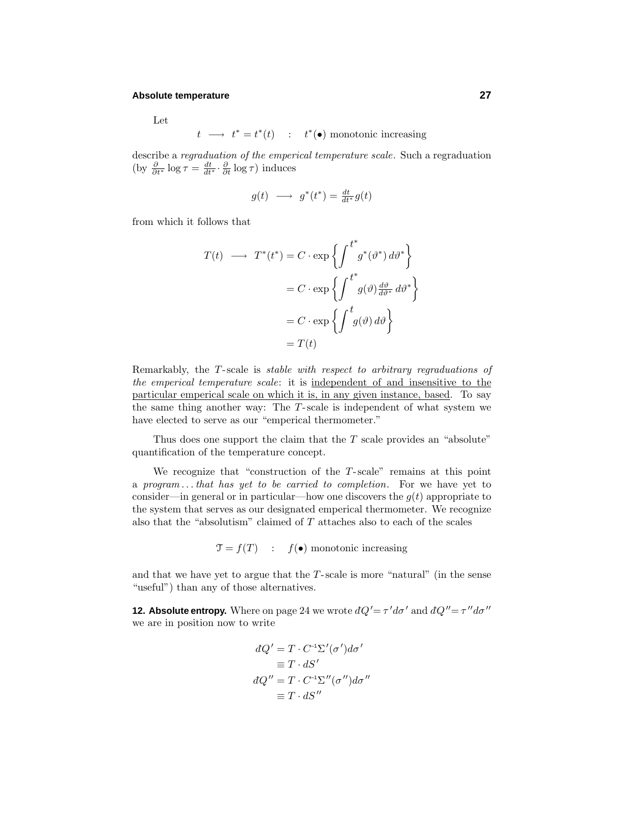### **Absolute temperature 27**

Let

$$
t \longrightarrow t^* = t^*(t)
$$
 :  $t^*(\bullet)$  monotonic increasing

describe a *regraduation of the emperical temperature scale*. Such a regraduation  $(\text{by } \frac{\partial}{\partial t^*} \log \tau = \frac{dt}{dt^*} \cdot \frac{\partial}{\partial t} \log \tau)$  induces

$$
g(t) \longrightarrow g^*(t^*) = \frac{dt}{dt^*}g(t)
$$

from which it follows that

$$
T(t) \longrightarrow T^*(t^*) = C \cdot \exp\left\{ \int \frac{t^*}{g^*(\vartheta^*)} d\vartheta^* \right\}
$$

$$
= C \cdot \exp\left\{ \int \frac{t^*}{g(\vartheta) \frac{d\vartheta}{d\vartheta^*}} d\vartheta^* \right\}
$$

$$
= C \cdot \exp\left\{ \int \frac{t}{g(\vartheta)} d\vartheta \right\}
$$

$$
= T(t)
$$

Remarkably, the *T*-scale is stable with respect to arbitrary regraduations of the emperical temperature scale: it is independent of and insensitive to the particular emperical scale on which it is, in any given instance, based. To say the same thing another way: The *T*-scale is independent of what system we have elected to serve as our "emperical thermometer."

Thus does one support the claim that the *T* scale provides an "absolute" quantification of the temperature concept.

We recognize that "construction of the *T*-scale" remains at this point a program *...*that has yet to be carried to completion. For we have yet to consider—in general or in particular—how one discovers the  $g(t)$  appropriate to the system that serves as our designated emperical thermometer. We recognize also that the "absolutism" claimed of *T* attaches also to each of the scales

 $\mathfrak{T} = f(T)$  :  $f(\bullet)$  monotonic increasing

and that we have yet to argue that the *T*-scale is more "natural" (in the sense "useful") than any of those alternatives.

**12. Absolute entropy.** Where on page 24 we wrote  $dQ' = \tau' d\sigma'$  and  $dQ'' = \tau'' d\sigma''$ we are in position now to write

$$
dQ' = T \cdot C^{-1} \Sigma'(\sigma') d\sigma'
$$
  
\n
$$
\equiv T \cdot dS'
$$
  
\n
$$
dQ'' = T \cdot C^{-1} \Sigma''(\sigma'') d\sigma''
$$
  
\n
$$
\equiv T \cdot dS''
$$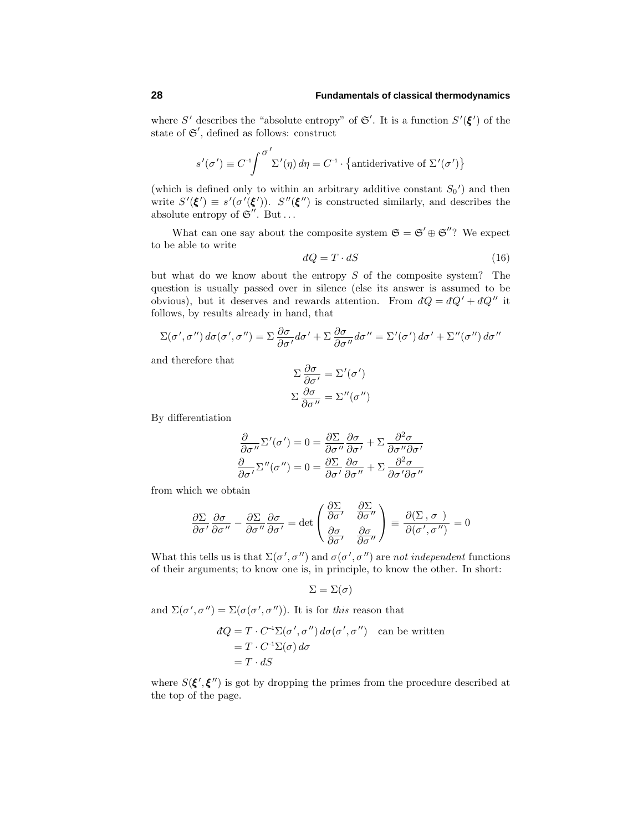where *S*' describes the "absolute entropy" of  $\mathfrak{S}'$ . It is a function  $S'(\xi')$  of the state of  $\mathfrak{S}'$ , defined as follows: construct

$$
s'(\sigma') \equiv C^{-1} \int^{\sigma'} \Sigma'(\eta) d\eta = C^{-1} \cdot \{ \text{antiderivative of } \Sigma'(\sigma') \}
$$

(which is defined only to within an arbitrary additive constant  $S_0'$ ) and then write  $S'(\xi') \equiv s'(\sigma'(\xi'))$ .  $S''(\xi'')$  is constructed similarly, and describes the absolute entropy of  $\mathfrak{S}^{\prime\prime}$ . But ...

What can one say about the composite system  $\mathfrak{S} = \mathfrak{S}' \oplus \mathfrak{S}''$ ? We expect to be able to write

$$
dQ = T \cdot dS \tag{16}
$$

but what do we know about the entropy *S* of the composite system? The question is usually passed over in silence (else its answer is assumed to be obvious), but it deserves and rewards attention. From  $dQ = dQ' + dQ''$  it follows, by results already in hand, that

$$
\Sigma(\sigma', \sigma'') d\sigma(\sigma', \sigma'') = \Sigma \frac{\partial \sigma}{\partial \sigma'} d\sigma' + \Sigma \frac{\partial \sigma}{\partial \sigma''} d\sigma'' = \Sigma'(\sigma') d\sigma' + \Sigma''(\sigma'') d\sigma''
$$

and therefore that

$$
\Sigma \frac{\partial \sigma}{\partial \sigma'} = \Sigma'(\sigma')
$$

$$
\Sigma \frac{\partial \sigma}{\partial \sigma''} = \Sigma''(\sigma'')
$$

By differentiation

$$
\frac{\partial}{\partial \sigma''} \Sigma'(\sigma') = 0 = \frac{\partial \Sigma}{\partial \sigma''} \frac{\partial \sigma}{\partial \sigma'} + \Sigma \frac{\partial^2 \sigma}{\partial \sigma'' \partial \sigma'}
$$

$$
\frac{\partial}{\partial \sigma'} \Sigma''(\sigma'') = 0 = \frac{\partial \Sigma}{\partial \sigma'} \frac{\partial \sigma}{\partial \sigma''} + \Sigma \frac{\partial^2 \sigma}{\partial \sigma' \partial \sigma''}
$$

from which we obtain

$$
\frac{\partial \Sigma}{\partial \sigma'} \frac{\partial \sigma}{\partial \sigma''} - \frac{\partial \Sigma}{\partial \sigma''} \frac{\partial \sigma}{\partial \sigma'} = \det \begin{pmatrix} \frac{\partial \Sigma}{\partial \sigma'} & \frac{\partial \Sigma}{\partial \sigma''} \\ \frac{\partial \sigma}{\partial \sigma'} & \frac{\partial \sigma}{\partial \sigma''} \end{pmatrix} \equiv \frac{\partial (\Sigma, \sigma)}{\partial (\sigma', \sigma'')} = 0
$$

What this tells us is that  $\Sigma(\sigma', \sigma'')$  and  $\sigma(\sigma', \sigma'')$  are not independent functions of their arguments; to know one is, in principle, to know the other. In short:

 $\Sigma = Σ(σ)$ 

and  $\Sigma(\sigma', \sigma'') = \Sigma(\sigma(\sigma', \sigma''))$ . It is for this reason that

$$
dQ = T \cdot C^{-1} \Sigma(\sigma', \sigma'') d\sigma(\sigma', \sigma'')
$$
 can be written  
=  $T \cdot C^{-1} \Sigma(\sigma) d\sigma$   
=  $T \cdot dS$ 

where  $S(\xi', \xi'')$  is got by dropping the primes from the procedure described at the top of the page.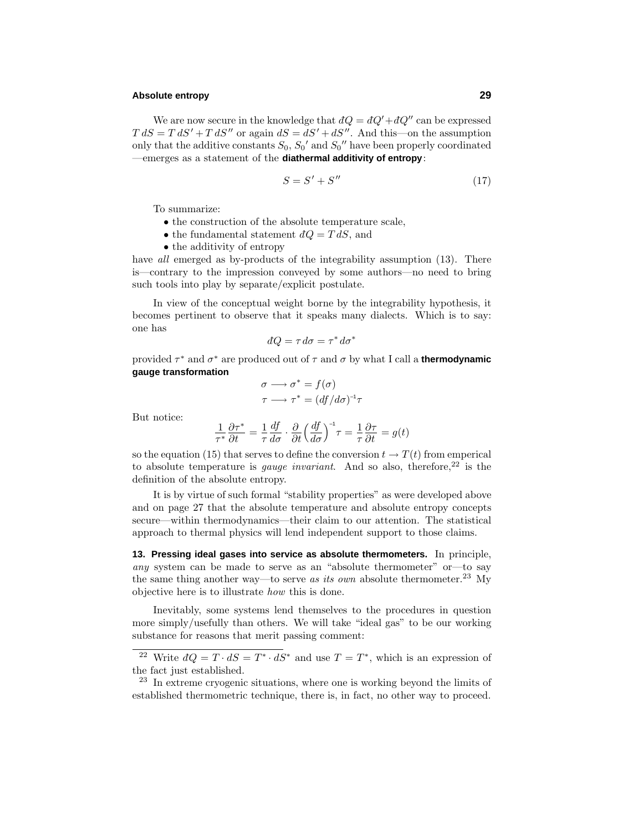## **Absolute entropy 29**

We are now secure in the knowledge that  $dQ = dQ' + dQ''$  can be expressed  $T dS = T dS' + T dS''$  or again  $dS = dS' + dS''$ . And this—on the assumption only that the additive constants  $S_0$ ,  $S_0'$  and  $S_0''$  have been properly coordinated —emerges as a statement of the **diathermal additivity of entropy**:

$$
S = S' + S'' \tag{17}
$$

To summarize:

- the construction of the absolute temperature scale,
- the fundamental statement  $dQ = T dS$ , and
- the additivity of entropy

have all emerged as by-products of the integrability assumption  $(13)$ . There is—contrary to the impression conveyed by some authors—no need to bring such tools into play by separate/explicit postulate.

In view of the conceptual weight borne by the integrability hypothesis, it becomes pertinent to observe that it speaks many dialects. Which is to say: one has

$$
dQ = \tau d\sigma = \tau^* d\sigma^*
$$

provided  $\tau^*$  and  $\sigma^*$  are produced out of  $\tau$  and  $\sigma$  by what I call a **thermodynamic gauge transformation**

$$
\sigma \longrightarrow \sigma^* = f(\sigma)
$$
  

$$
\tau \longrightarrow \tau^* = (df/d\sigma)^{-1}\tau
$$

But notice:

$$
\frac{1}{\tau^*} \frac{\partial \tau^*}{\partial t} = \frac{1}{\tau} \frac{df}{d\sigma} \cdot \frac{\partial}{\partial t} \left(\frac{df}{d\sigma}\right)^{-1} \tau = \frac{1}{\tau} \frac{\partial \tau}{\partial t} = g(t)
$$

so the equation (15) that serves to define the conversion  $t \to T(t)$  from emperical to absolute temperature is *gauge invariant*. And so also, therefore,  $22$  is the definition of the absolute entropy.

It is by virtue of such formal "stability properties" as were developed above and on page 27 that the absolute temperature and absolute entropy concepts secure—within thermodynamics—their claim to our attention. The statistical approach to thermal physics will lend independent support to those claims.

**13. Pressing ideal gases into service as absolute thermometers.** In principle, any system can be made to serve as an "absolute thermometer" or—to say the same thing another way—to serve as its own absolute thermometer.<sup>23</sup> My objective here is to illustrate how this is done.

Inevitably, some systems lend themselves to the procedures in question more simply/usefully than others. We will take "ideal gas" to be our working substance for reasons that merit passing comment:

<sup>22</sup> Write  $dQ = T \cdot dS = T^* \cdot dS^*$  and use  $T = T^*$ , which is an expression of the fact just established.

 $23$  In extreme cryogenic situations, where one is working beyond the limits of established thermometric technique, there is, in fact, no other way to proceed.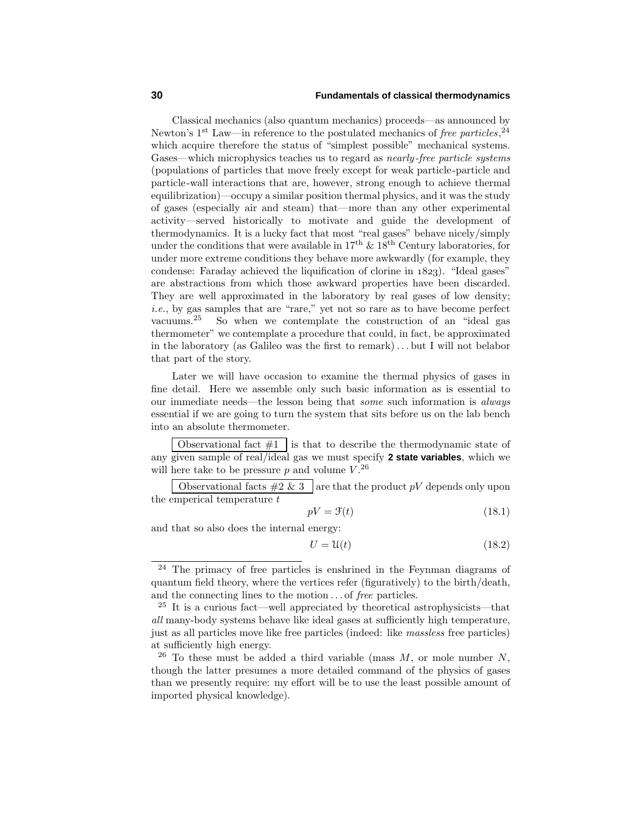Classical mechanics (also quantum mechanics) proceeds—as announced by Newton's 1<sup>st</sup> Law—in reference to the postulated mechanics of free particles,<sup>24</sup> which acquire therefore the status of "simplest possible" mechanical systems. Gases—which microphysics teaches us to regard as *nearly-free particle systems* (populations of particles that move freely except for weak particle-particle and particle-wall interactions that are, however, strong enough to achieve thermal equilibrization)—occupy a similar position thermal physics, and it was the study of gases (especially air and steam) that—more than any other experimental activity—served historically to motivate and guide the development of thermodynamics. It is a lucky fact that most "real gases" behave nicely/simply under the conditions that were available in  $17<sup>th</sup> \& 18<sup>th</sup>$  Century laboratories, for under more extreme conditions they behave more awkwardly (for example, they condense: Faraday achieved the liquification of clorine in  $1823$ . "Ideal gases" are abstractions from which those awkward properties have been discarded. They are well approximated in the laboratory by real gases of low density; i.e., by gas samples that are "rare," yet not so rare as to have become perfect vacuums.<sup>25</sup> So when we contemplate the construction of an "ideal gas thermometer" we contemplate a procedure that could, in fact, be approximated in the laboratory (as Galileo was the first to remark) *...* but I will not belabor that part of the story.

Later we will have occasion to examine the thermal physics of gases in fine detail. Here we assemble only such basic information as is essential to our immediate needs—the lesson being that some such information is always essential if we are going to turn the system that sits before us on the lab bench into an absolute thermometer.

Observational fact  $#1$  is that to describe the thermodynamic state of any given sample of real/ideal gas we must specify **2 state variables**, which we will here take to be pressure  $p$  and volume  $V^{26}$ .

Observational facts  $\#2 \& 3$  are that the product pV depends only upon the emperical temperature *t*

$$
pV = \mathcal{F}(t) \tag{18.1}
$$

and that so also does the internal energy:

$$
U = \mathfrak{U}(t) \tag{18.2}
$$

<sup>24</sup> The primacy of free particles is enshrined in the Feynman diagrams of quantum field theory, where the vertices refer (figuratively) to the birth/death, and the connecting lines to the motion *...* of free particles.

<sup>25</sup> It is a curious fact—well appreciated by theoretical astrophysicists—that all many-body systems behave like ideal gases at sufficiently high temperature, just as all particles move like free particles (indeed: like massless free particles) at sufficiently high energy.

<sup>26</sup> To these must be added a third variable (mass *M*, or mole number *N*, though the latter presumes a more detailed command of the physics of gases than we presently require: my effort will be to use the least possible amount of imported physical knowledge).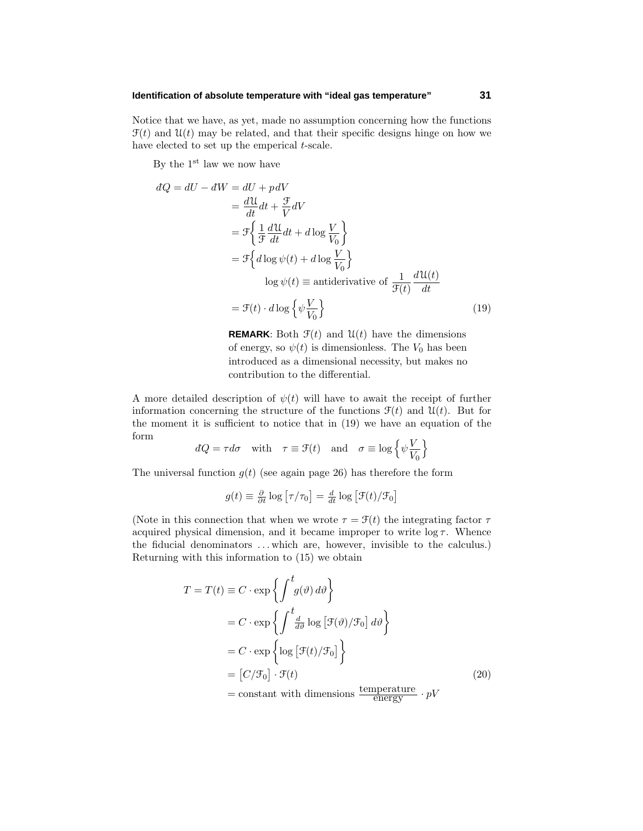### **Identification of absolute temperature with "ideal gas temperature" 31**

Notice that we have, as yet, made no assumption concerning how the functions  $\mathcal{F}(t)$  and  $\mathcal{U}(t)$  may be related, and that their specific designs hinge on how we have elected to set up the emperical *t*-scale.

By the  $1<sup>st</sup>$  law we now have

$$
dQ = dU - dW = dU + pdV
$$
  
= 
$$
\frac{dU}{dt}dt + \frac{\mathcal{F}}{V}dV
$$
  
= 
$$
\mathcal{F}\left\{\frac{1}{\mathcal{F}}\frac{dU}{dt}dt + d\log\frac{V}{V_0}\right\}
$$
  
= 
$$
\mathcal{F}\left\{d\log\psi(t) + d\log\frac{V}{V_0}\right\}
$$
  

$$
\log\psi(t) \equiv \text{antiderivative of } \frac{1}{\mathcal{F}(t)}\frac{dU(t)}{dt}
$$
  
= 
$$
\mathcal{F}(t) \cdot d\log\left\{\psi\frac{V}{V_0}\right\}
$$
(19)

**REMARK:** Both  $\mathcal{F}(t)$  and  $\mathcal{U}(t)$  have the dimensions of energy, so  $\psi(t)$  is dimensionless. The  $V_0$  has been introduced as a dimensional necessity, but makes no contribution to the differential.

A more detailed description of  $\psi(t)$  will have to await the receipt of further information concerning the structure of the functions  $\mathcal{F}(t)$  and  $\mathcal{U}(t)$ . But for the moment it is sufficient to notice that in (19) we have an equation of the form

$$
dQ = \tau d\sigma
$$
 with  $\tau \equiv \mathcal{F}(t)$  and  $\sigma \equiv \log \left\{ \psi \frac{V}{V_0} \right\}$ 

The universal function  $g(t)$  (see again page 26) has therefore the form

$$
g(t) \equiv \frac{\partial}{\partial t} \log \left[ \tau / \tau_0 \right] = \frac{d}{dt} \log \left[ \mathcal{F}(t) / \mathcal{F}_0 \right]
$$

(Note in this connection that when we wrote  $\tau = \mathcal{F}(t)$  the integrating factor  $\tau$ acquired physical dimension, and it became improper to write  $\log \tau$ . Whence the fiducial denominators *...* which are, however, invisible to the calculus.) Returning with this information to (15) we obtain

$$
T = T(t) \equiv C \cdot \exp\left\{ \int_{-\infty}^{t} g(\vartheta) d\vartheta \right\}
$$
  
\n
$$
= C \cdot \exp\left\{ \int_{-\infty}^{t} \frac{d\vartheta}{d\vartheta} \log \left[ \mathcal{F}(\vartheta) / \mathcal{F}_0 \right] d\vartheta \right\}
$$
  
\n
$$
= C \cdot \exp\left\{ \log \left[ \mathcal{F}(t) / \mathcal{F}_0 \right] \right\}
$$
  
\n
$$
= [C / \mathcal{F}_0] \cdot \mathcal{F}(t) \tag{20}
$$
  
\n
$$
= \text{constant with dimensions } \frac{\text{temperature}}{\text{energy}} \cdot pV
$$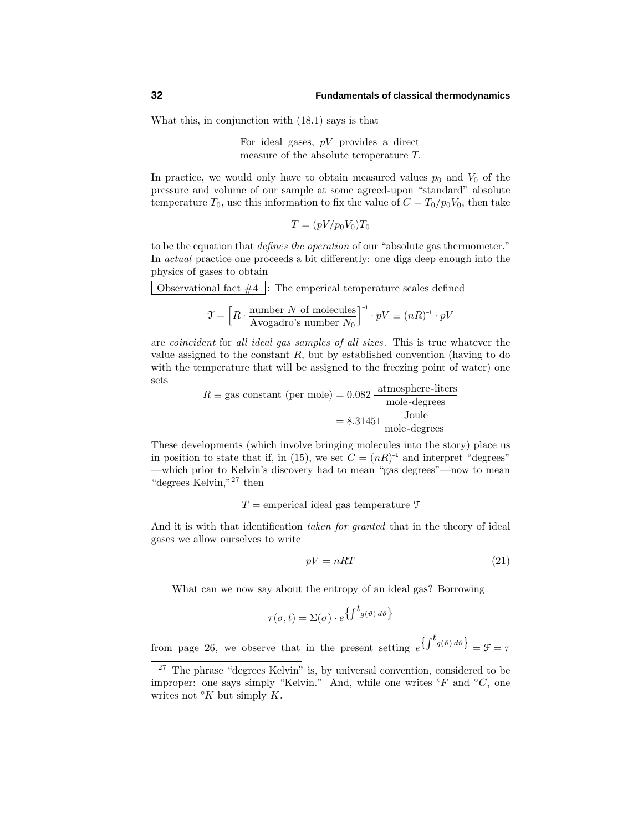What this, in conjunction with (18.1) says is that

For ideal gases, *pV* provides a direct measure of the absolute temperature *T*.

In practice, we would only have to obtain measured values  $p_0$  and  $V_0$  of the pressure and volume of our sample at some agreed-upon "standard" absolute temperature  $T_0$ , use this information to fix the value of  $C = T_0/p_0V_0$ , then take

 $T = (pV/p_0V_0)T_0$ 

to be the equation that *defines the operation* of our "absolute gas thermometer." In actual practice one proceeds a bit differently: one digs deep enough into the physics of gases to obtain

Observational fact  $#4$  : The emperical temperature scales defined

$$
\mathfrak{T} = \left[ R \cdot \frac{\text{number } N \text{ of molecules}}{\text{Avogadro's number } N_0} \right]^{-1} \cdot pV \equiv (nR)^{-1} \cdot pV
$$

are coincident for all ideal gas samples of all sizes. This is true whatever the value assigned to the constant  $R$ , but by established convention (having to do with the temperature that will be assigned to the freezing point of water) one sets

$$
R \equiv \text{gas constant (per mole)} = 0.082 \frac{\text{atmosphere-liters}}{\text{mole-degrees}}
$$

$$
= 8.31451 \frac{\text{Joule}}{\text{mole-degrees}}
$$

These developments (which involve bringing molecules into the story) place us in position to state that if, in (15), we set  $C = (nR)^{-1}$  and interpret "degrees" —which prior to Kelvin's discovery had to mean "gas degrees"—now to mean "degrees Kelvin,"<sup>27</sup> then

 $T =$  emperical ideal gas temperature  $T$ 

And it is with that identification taken for granted that in the theory of ideal gases we allow ourselves to write

$$
pV = nRT \tag{21}
$$

What can we now say about the entropy of an ideal gas? Borrowing

$$
\tau(\sigma, t) = \Sigma(\sigma) \cdot e^{\{ \int^t g(\vartheta) d\vartheta \}}
$$

from page 26, we observe that in the present setting  $e^{\{\int f_{g(\vartheta)}^t d\vartheta\}} = \mathcal{F} = \tau$ 

<sup>27</sup> The phrase "degrees Kelvin" is, by universal convention, considered to be improper: one says simply "Kelvin." And, while one writes ◦ *F* and ◦*C*, one writes not  $\mathcal{C}_K$  but simply *K*.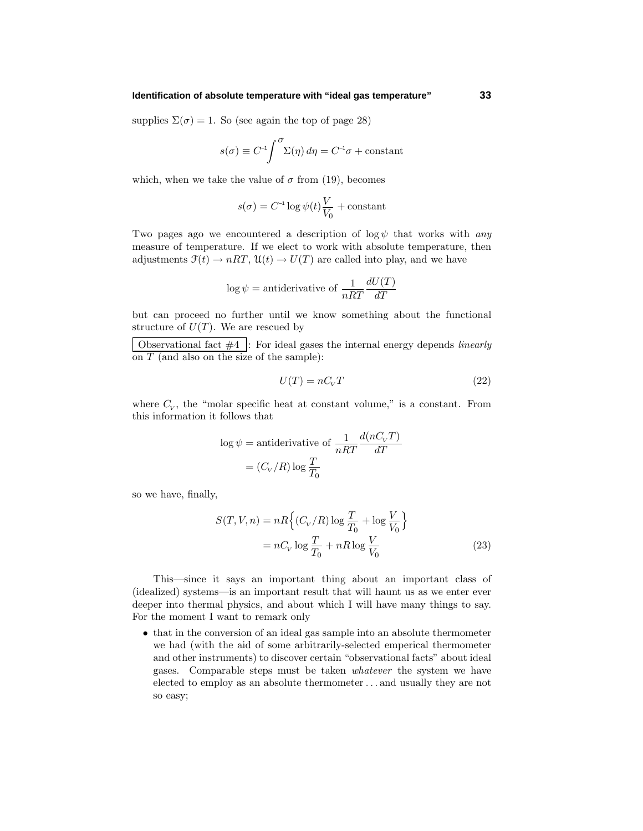### **Identification of absolute temperature with "ideal gas temperature" 33**

supplies  $\Sigma(\sigma) = 1$ . So (see again the top of page 28)

$$
s(\sigma) \equiv C^{-1} \int_{}^{\sigma} \Sigma(\eta) d\eta = C^{-1} \sigma + \text{constant}
$$

which, when we take the value of  $\sigma$  from (19), becomes

$$
s(\sigma) = C^{-1} \log \psi(t) \frac{V}{V_0} + \text{constant}
$$

Two pages ago we encountered a description of  $\log \psi$  that works with any measure of temperature. If we elect to work with absolute temperature, then adjustments  $\mathcal{F}(t) \to nRT$ ,  $\mathcal{U}(t) \to U(T)$  are called into play, and we have

$$
\log \psi = \text{antiderivative of } \frac{1}{nRT} \frac{dU(T)}{dT}
$$

but can proceed no further until we know something about the functional structure of  $U(T)$ . We are rescued by

Observational fact  $#4$  : For ideal gases the internal energy depends linearly on *T* (and also on the size of the sample):

$$
U(T) = nC_V T \tag{22}
$$

where  $C_V$ , the "molar specific heat at constant volume," is a constant. From this information it follows that

$$
\log \psi = \text{antiderivative of } \frac{1}{nRT} \frac{d(nC_V T)}{dT}
$$

$$
= (C_V/R) \log \frac{T}{T_0}
$$

so we have, finally,

$$
S(T, V, n) = nR\left\{ (C_V/R) \log \frac{T}{T_0} + \log \frac{V}{V_0} \right\}
$$

$$
= nC_V \log \frac{T}{T_0} + nR \log \frac{V}{V_0}
$$
(23)

This—since it says an important thing about an important class of (idealized) systems—is an important result that will haunt us as we enter ever deeper into thermal physics, and about which I will have many things to say. For the moment I want to remark only

• that in the conversion of an ideal gas sample into an absolute thermometer we had (with the aid of some arbitrarily-selected emperical thermometer and other instruments) to discover certain "observational facts" about ideal gases. Comparable steps must be taken whatever the system we have elected to employ as an absolute thermometer *...* and usually they are not so easy;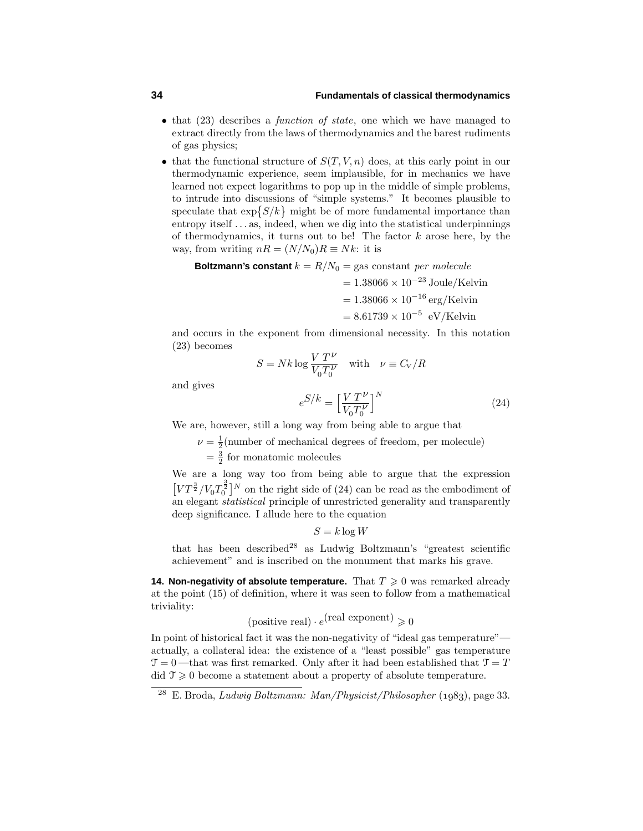- that (23) describes a *function of state*, one which we have managed to extract directly from the laws of thermodynamics and the barest rudiments of gas physics;
- that the functional structure of  $S(T, V, n)$  does, at this early point in our thermodynamic experience, seem implausible, for in mechanics we have learned not expect logarithms to pop up in the middle of simple problems, to intrude into discussions of "simple systems." It becomes plausible to speculate that  $\exp\{S/k\}$  might be of more fundamental importance than entropy itself *...* as, indeed, when we dig into the statistical underpinnings of thermodynamics, it turns out to be! The factor *k* arose here, by the way, from writing  $nR = (N/N_0)R \equiv Nk$ : it is

**Boltzmann's constant**  $k = R/N_0 =$  gas constant *per molecule* 

= 1*.*<sup>38066</sup> <sup>×</sup> <sup>10</sup>−<sup>23</sup> Joule/Kelvin  $= 1.38066 \times 10^{-16} \text{ erg/Kelvin}$  $= 8.61739 \times 10^{-5}$  eV/Kelvin

and occurs in the exponent from dimensional necessity. In this notation (23) becomes

$$
S = Nk \log \frac{V T^{\nu}}{V_0 T_0^{\nu}}
$$
 with  $\nu \equiv C_V / R$   

$$
e^{S/k} = \left[\frac{V T^{\nu}}{V T^{\nu}}\right]^N
$$
 (24)

and gives

$$
e^{-\gamma \cdot \cdot \cdot} = \lfloor \frac{\sqrt{6}T_0 V}{V_0 T_0 V} \rfloor
$$

We are, however, still a long way from being able to argue that

 $\nu = \frac{1}{2}$ (number of mechanical degrees of freedom, per molecule)

 $=\frac{3}{2}$  for monatomic molecules

We are a long way too from being able to argue that the expression  $\left[ VT^{\frac{3}{2}} / V_0T_0^{\frac{3}{2}} \right]$ <sup>N</sup> on the right side of (24) can be read as the embodiment of an elegant *statistical* principle of unrestricted generality and transparently deep significance. I allude here to the equation

$$
S = k \log W
$$

that has been described<sup>28</sup> as Ludwig Boltzmann's "greatest scientific achievement" and is inscribed on the monument that marks his grave.

**14. Non-negativity of absolute temperature.** That  $T \geq 0$  was remarked already at the point (15) of definition, where it was seen to follow from a mathematical triviality:

$$
(\text{positive real}) \cdot e^{(\text{real exponent})} \geq 0
$$

In point of historical fact it was the non-negativity of "ideal gas temperature" actually, a collateral idea: the existence of a "least possible" gas temperature  $\mathcal{T} = 0$ —that was first remarked. Only after it had been established that  $\mathcal{T} = T$ did  $\mathcal{T} \geq 0$  become a statement about a property of absolute temperature.

<sup>&</sup>lt;sup>28</sup> E. Broda, *Ludwig Boltzmann: Man/Physicist/Philosopher* (1983), page 33.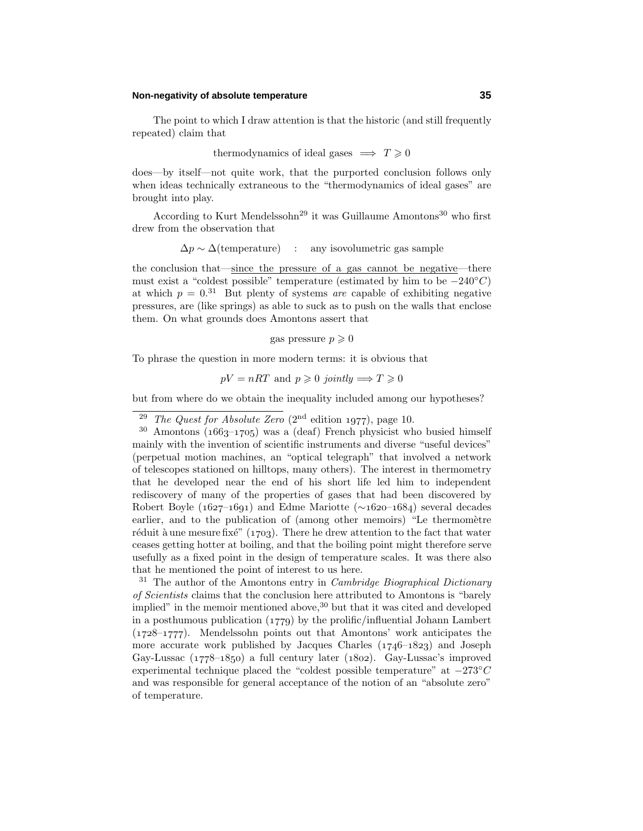### **Non-negativity of absolute temperature 35**

The point to which I draw attention is that the historic (and still frequently repeated) claim that

thermodynamics of ideal gases  $\implies T \geq 0$ 

does—by itself—not quite work, that the purported conclusion follows only when ideas technically extraneous to the "thermodynamics of ideal gases" are brought into play.

According to Kurt Mendelssohn<sup>29</sup> it was Guillaume Amontons<sup>30</sup> who first drew from the observation that

 $\Delta p \sim \Delta$ (temperature) : any isovolumetric gas sample

the conclusion that—since the pressure of a gas cannot be negative—there must exist a "coldest possible" temperature (estimated by him to be −240◦*C*) at which  $p = 0^{31}$  But plenty of systems *are* capable of exhibiting negative pressures, are (like springs) as able to suck as to push on the walls that enclose them. On what grounds does Amontons assert that

### gas pressure  $p \geqslant 0$

To phrase the question in more modern terms: it is obvious that

$$
pV = nRT \text{ and } p \ge 0 \text{ jointly} \Longrightarrow T \ge 0
$$

but from where do we obtain the inequality included among our hypotheses?

 $31$  The author of the Amontons entry in *Cambridge Biographical Dictionary* of Scientists claims that the conclusion here attributed to Amontons is "barely implied" in the memoir mentioned above, $30$  but that it was cited and developed in a posthumous publication  $(1779)$  by the prolific/influential Johann Lambert  $(1728-1777)$ . Mendelssohn points out that Amontons' work anticipates the more accurate work published by Jacques Charles  $(1746-1823)$  and Joseph Gay-Lussac  $(1778-1850)$  a full century later  $(1802)$ . Gay-Lussac's improved experimental technique placed the "coldest possible temperature" at −273◦*C* and was responsible for general acceptance of the notion of an "absolute zero" of temperature.

<sup>&</sup>lt;sup>29</sup> The Quest for Absolute Zero (2<sup>nd</sup> edition 1977), page 10.

 $30$  Amontons ( $1663-1705$ ) was a (deaf) French physicist who busied himself mainly with the invention of scientific instruments and diverse "useful devices" (perpetual motion machines, an "optical telegraph" that involved a network of telescopes stationed on hilltops, many others). The interest in thermometry that he developed near the end of his short life led him to independent rediscovery of many of the properties of gases that had been discovered by Robert Boyle ( $1627-1691$ ) and Edme Mariotte ( $\sim$ 1620-1684) several decades earlier, and to the publication of (among other memoirs) "Le thermomètre réduit à une mesure fixé"  $(1703)$ . There he drew attention to the fact that water ceases getting hotter at boiling, and that the boiling point might therefore serve usefully as a fixed point in the design of temperature scales. It was there also that he mentioned the point of interest to us here.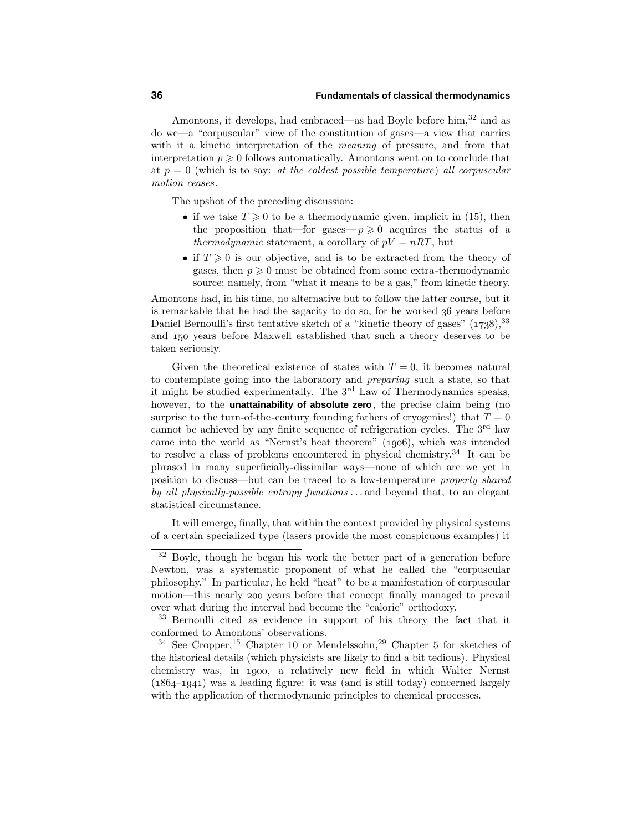Amontons, it develops, had embraced—as had Boyle before  $\lim_{n \to \infty} 3^2$  and as do we—a "corpuscular" view of the constitution of gases—a view that carries with it a kinetic interpretation of the *meaning* of pressure, and from that interpretation  $p \geq 0$  follows automatically. Amontons went on to conclude that at  $p = 0$  (which is to say: *at the coldest possible temperature) all corpuscular* motion ceases.

The upshot of the preceding discussion:

- if we take  $T \geq 0$  to be a thermodynamic given, implicit in (15), then the proposition that—for gases— $p \geq 0$  acquires the status of a thermodynamic statement, a corollary of  $pV = nRT$ , but
- if  $T \geq 0$  is our objective, and is to be extracted from the theory of gases, then  $p \geq 0$  must be obtained from some extra-thermodynamic source; namely, from "what it means to be a gas," from kinetic theory.

Amontons had, in his time, no alternative but to follow the latter course, but it is remarkable that he had the sagacity to do so, for he worked 36 years before Daniel Bernoulli's first tentative sketch of a "kinetic theory of gases"  $(1738)$ ,  $33$ and 150 years before Maxwell established that such a theory deserves to be taken seriously.

Given the theoretical existence of states with  $T=0$ , it becomes natural to contemplate going into the laboratory and preparing such a state, so that it might be studied experimentally. The 3rd Law of Thermodynamics speaks, however, to the **unattainability of absolute zero**, the precise claim being (no surprise to the turn-of-the-century founding fathers of cryogenics!) that  $T = 0$ cannot be achieved by any finite sequence of refrigeration cycles. The  $3<sup>rd</sup>$  law came into the world as "Nernst's heat theorem"  $(1006)$ , which was intended to resolve a class of problems encountered in physical chemistry.<sup>34</sup> It can be phrased in many superficially-dissimilar ways—none of which are we yet in position to discuss—but can be traced to a low-temperature property shared by all physically-possible entropy functions *...* and beyond that, to an elegant statistical circumstance.

It will emerge, finally, that within the context provided by physical systems of a certain specialized type (lasers provide the most conspicuous examples) it

<sup>32</sup> Boyle, though he began his work the better part of a generation before Newton, was a systematic proponent of what he called the "corpuscular philosophy." In particular, he held "heat" to be a manifestation of corpuscular motion—this nearly 200 years before that concept finally managed to prevail over what during the interval had become the "caloric" orthodoxy.

<sup>33</sup> Bernoulli cited as evidence in support of his theory the fact that it conformed to Amontons' observations.

<sup>34</sup> See Cropper,<sup>15</sup> Chapter 10 or Mendelssohn,<sup>29</sup> Chapter 5 for sketches of the historical details (which physicists are likely to find a bit tedious). Physical chemistry was, in 1900, a relatively new field in which Walter Nernst  $(1864-1941)$  was a leading figure: it was (and is still today) concerned largely with the application of thermodynamic principles to chemical processes.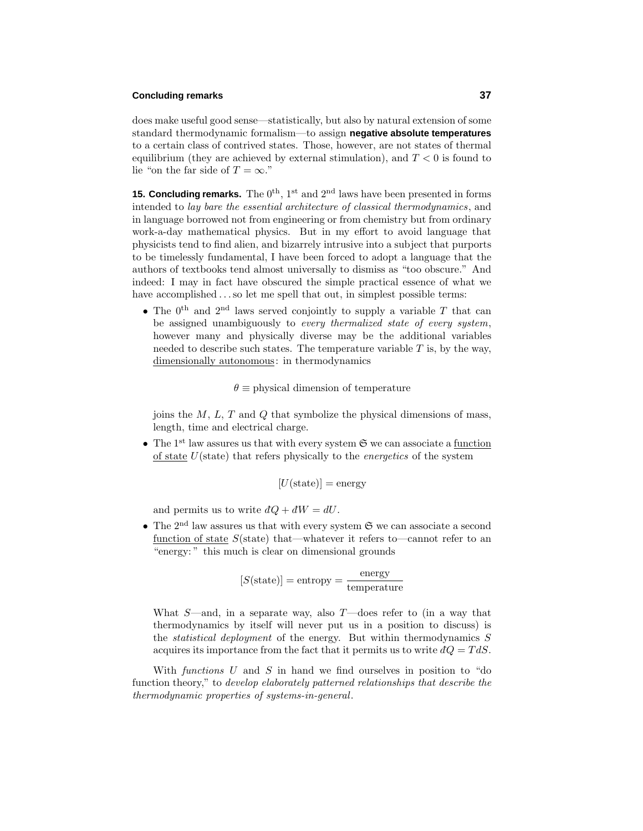### **Concluding remarks 37**

does make useful good sense—statistically, but also by natural extension of some standard thermodynamic formalism—to assign **negative absolute temperatures** to a certain class of contrived states. Those, however, are not states of thermal equilibrium (they are achieved by external stimulation), and  $T < 0$  is found to lie "on the far side of  $T = \infty$ ."

**15. Concluding remarks.** The  $0^{\text{th}}$ , 1st and  $2^{\text{nd}}$  laws have been presented in forms intended to lay bare the essential architecture of classical thermodynamics, and in language borrowed not from engineering or from chemistry but from ordinary work-a-day mathematical physics. But in my effort to avoid language that physicists tend to find alien, and bizarrely intrusive into a subject that purports to be timelessly fundamental, I have been forced to adopt a language that the authors of textbooks tend almost universally to dismiss as "too obscure." And indeed: I may in fact have obscured the simple practical essence of what we have accomplished  $\dots$  so let me spell that out, in simplest possible terms:

• The  $0^{\text{th}}$  and  $2^{\text{nd}}$  laws served conjointly to supply a variable T that can be assigned unambiguously to every thermalized state of every system, however many and physically diverse may be the additional variables needed to describe such states. The temperature variable  $T$  is, by the way, dimensionally autonomous: in thermodynamics

 $\theta \equiv$  physical dimension of temperature

joins the *M*, *L*, *T* and *Q* that symbolize the physical dimensions of mass, length, time and electrical charge.

• The 1<sup>st</sup> law assures us that with every system  $\mathfrak{S}$  we can associate a function of state *U*(state) that refers physically to the energetics of the system

$$
[U(\text{state})] = \text{energy}
$$

and permits us to write  $dQ + dW = dU$ .

• The 2<sup>nd</sup> law assures us that with every system  $\mathfrak{S}$  we can associate a second function of state *S*(state) that—whatever it refers to—cannot refer to an "energy: " this much is clear on dimensional grounds

$$
[S(\text{state})] = \text{entropy} = \frac{\text{energy}}{\text{temperature}}
$$

What *S*—and, in a separate way, also *T*—does refer to (in a way that thermodynamics by itself will never put us in a position to discuss) is the statistical deployment of the energy. But within thermodynamics *S* acquires its importance from the fact that it permits us to write  $dQ = T dS$ .

With functions *U* and *S* in hand we find ourselves in position to "do function theory," to develop elaborately patterned relationships that describe the thermodynamic properties of systems-in-general.